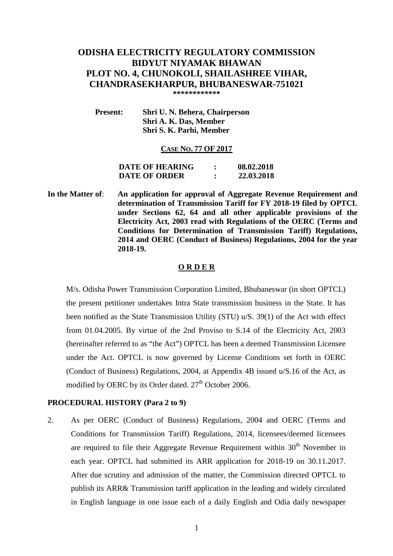# **ODISHA ELECTRICITY REGULATORY COMMISSION BIDYUT NIYAMAK BHAWAN PLOT NO. 4, CHUNOKOLI, SHAILASHREE VIHAR, CHANDRASEKHARPUR, BHUBANESWAR-751021 \*\*\*\*\*\*\*\*\*\*\*\***

 **Present: Shri U. N. Behera, Chairperson Shri A. K. Das, Member Shri S. K. Parhi, Member** 

#### **CASE NO. 77 OF 2017**

**DATE OF HEARING : 08.02.2018 DATE OF ORDER : 22.03.2018** 

**In the Matter of**: **An application for approval of Aggregate Revenue Requirement and determination of Transmission Tariff for FY 2018-19 filed by OPTCL under Sections 62, 64 and all other applicable provisions of the Electricity Act, 2003 read with Regulations of the OERC (Terms and Conditions for Determination of Transmission Tariff) Regulations, 2014 and OERC (Conduct of Business) Regulations, 2004 for the year 2018-19.** 

#### **O R D E R**

 M/s. Odisha Power Transmission Corporation Limited, Bhubaneswar (in short OPTCL) the present petitioner undertakes Intra State transmission business in the State. It has been notified as the State Transmission Utility (STU) u/S. 39(1) of the Act with effect from 01.04.2005. By virtue of the 2nd Proviso to S.14 of the Electricity Act, 2003 (hereinafter referred to as "the Act") OPTCL has been a deemed Transmission Licensee under the Act. OPTCL is now governed by License Conditions set forth in OERC (Conduct of Business) Regulations, 2004, at Appendix 4B issued u/S.16 of the Act, as modified by OERC by its Order dated.  $27<sup>th</sup>$  October 2006.

#### **PROCEDURAL HISTORY (Para 2 to 9)**

2. As per OERC (Conduct of Business) Regulations, 2004 and OERC (Terms and Conditions for Transmission Tariff) Regulations, 2014, licensees/deemed licensees are required to file their Aggregate Revenue Requirement within  $30<sup>th</sup>$  November in each year. OPTCL had submitted its ARR application for 2018-19 on 30.11.2017. After due scrutiny and admission of the matter, the Commission directed OPTCL to publish its ARR& Transmission tariff application in the leading and widely circulated in English language in one issue each of a daily English and Odia daily newspaper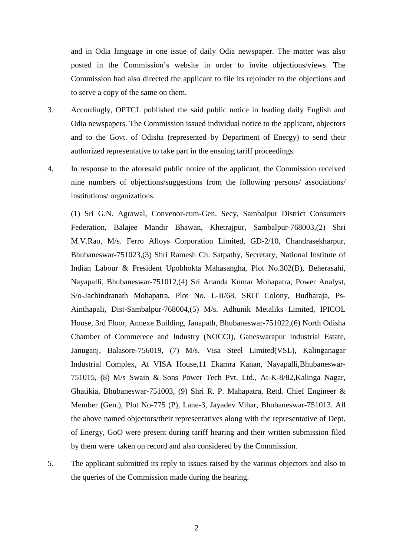and in Odia language in one issue of daily Odia newspaper. The matter was also posted in the Commission's website in order to invite objections/views. The Commission had also directed the applicant to file its rejoinder to the objections and to serve a copy of the same on them.

- 3. Accordingly, OPTCL published the said public notice in leading daily English and Odia newspapers. The Commission issued individual notice to the applicant, objectors and to the Govt. of Odisha (represented by Department of Energy) to send their authorized representative to take part in the ensuing tariff proceedings.
- 4. In response to the aforesaid public notice of the applicant, the Commission received nine numbers of objections/suggestions from the following persons/ associations/ institutions/ organizations.

(1) Sri G.N. Agrawal, Convenor-cum-Gen. Secy, Sambalpur District Consumers Federation, Balajee Mandir Bhawan, Khetrajpur, Sambalpur-768003,(2) Shri M.V.Rao, M/s. Ferro Alloys Corporation Limited, GD-2/10, Chandrasekharpur, Bhubaneswar-751023,(3) Shri Ramesh Ch. Satpathy, Secretary, National Institute of Indian Labour & President Upobhokta Mahasangha, Plot No.302(B), Beherasahi, Nayapalli, Bhubaneswar-751012,(4) Sri Ananda Kumar Mohapatra, Power Analyst, S/o-Jachindranath Mohapatra, Plot No. L-II/68, SRIT Colony, Budharaja, Ps-Ainthapali, Dist-Sambalpur-768004,(5) M/s. Adhunik Metaliks Limited, IPICOL House, 3rd Floor, Annexe Building, Janapath, Bhubaneswar-751022,(6) North Odisha Chamber of Commerece and Industry (NOCCI), Ganeswarapur Industrial Estate, Januganj, Balasore-756019, (7) M/s. Visa Steel Limited(VSL), Kalinganagar Industrial Complex, At VISA House,11 Ekamra Kanan, Nayapalli,Bhubaneswar-751015, (8) M/s Swain & Sons Power Tech Pvt. Ltd., At-K-8/82,Kalinga Nagar, Ghatikia, Bhubaneswar-751003, (9) Shri R. P. Mahapatra, Retd. Chief Engineer & Member (Gen.), Plot No-775 (P), Lane-3, Jayadev Vihar, Bhubaneswar-751013. All the above named objectors/their representatives along with the representative of Dept. of Energy, GoO were present during tariff hearing and their written submission filed by them were taken on record and also considered by the Commission.

5. The applicant submitted its reply to issues raised by the various objectors and also to the queries of the Commission made during the hearing.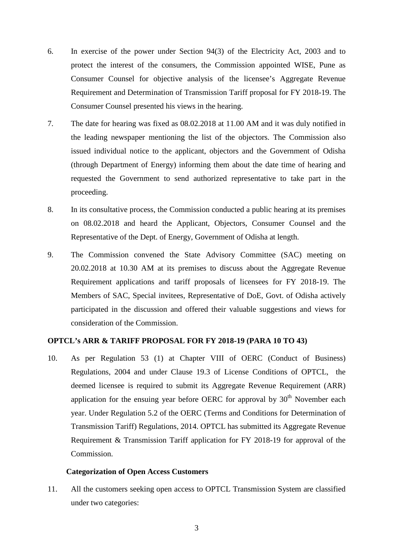- 6. In exercise of the power under Section 94(3) of the Electricity Act, 2003 and to protect the interest of the consumers, the Commission appointed WISE, Pune as Consumer Counsel for objective analysis of the licensee's Aggregate Revenue Requirement and Determination of Transmission Tariff proposal for FY 2018-19. The Consumer Counsel presented his views in the hearing.
- 7. The date for hearing was fixed as 08.02.2018 at 11.00 AM and it was duly notified in the leading newspaper mentioning the list of the objectors. The Commission also issued individual notice to the applicant, objectors and the Government of Odisha (through Department of Energy) informing them about the date time of hearing and requested the Government to send authorized representative to take part in the proceeding.
- 8. In its consultative process, the Commission conducted a public hearing at its premises on 08.02.2018 and heard the Applicant, Objectors, Consumer Counsel and the Representative of the Dept. of Energy, Government of Odisha at length.
- 9. The Commission convened the State Advisory Committee (SAC) meeting on 20.02.2018 at 10.30 AM at its premises to discuss about the Aggregate Revenue Requirement applications and tariff proposals of licensees for FY 2018-19. The Members of SAC, Special invitees, Representative of DoE, Govt. of Odisha actively participated in the discussion and offered their valuable suggestions and views for consideration of the Commission.

# **OPTCL's ARR & TARIFF PROPOSAL FOR FY 2018-19 (PARA 10 TO 43)**

10. As per Regulation 53 (1) at Chapter VIII of OERC (Conduct of Business) Regulations, 2004 and under Clause 19.3 of License Conditions of OPTCL, the deemed licensee is required to submit its Aggregate Revenue Requirement (ARR) application for the ensuing year before OERC for approval by  $30<sup>th</sup>$  November each year. Under Regulation 5.2 of the OERC (Terms and Conditions for Determination of Transmission Tariff) Regulations, 2014. OPTCL has submitted its Aggregate Revenue Requirement & Transmission Tariff application for FY 2018-19 for approval of the Commission.

#### **Categorization of Open Access Customers**

11. All the customers seeking open access to OPTCL Transmission System are classified under two categories: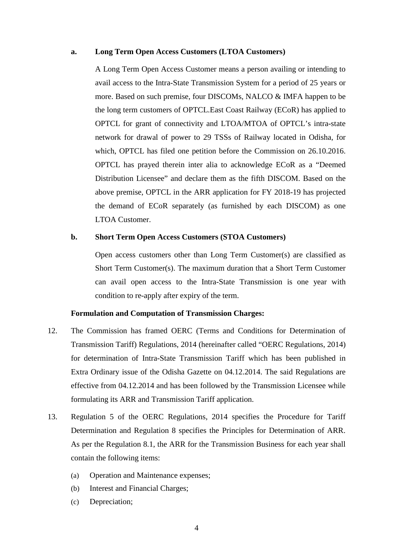#### **a. Long Term Open Access Customers (LTOA Customers)**

A Long Term Open Access Customer means a person availing or intending to avail access to the Intra-State Transmission System for a period of 25 years or more. Based on such premise, four DISCOMs, NALCO & IMFA happen to be the long term customers of OPTCL.East Coast Railway (ECoR) has applied to OPTCL for grant of connectivity and LTOA/MTOA of OPTCL's intra-state network for drawal of power to 29 TSSs of Railway located in Odisha, for which, OPTCL has filed one petition before the Commission on 26.10.2016. OPTCL has prayed therein inter alia to acknowledge ECoR as a "Deemed Distribution Licensee" and declare them as the fifth DISCOM. Based on the above premise, OPTCL in the ARR application for FY 2018-19 has projected the demand of ECoR separately (as furnished by each DISCOM) as one LTOA Customer.

#### **b. Short Term Open Access Customers (STOA Customers)**

Open access customers other than Long Term Customer(s) are classified as Short Term Customer(s). The maximum duration that a Short Term Customer can avail open access to the Intra-State Transmission is one year with condition to re-apply after expiry of the term.

#### **Formulation and Computation of Transmission Charges:**

- 12. The Commission has framed OERC (Terms and Conditions for Determination of Transmission Tariff) Regulations, 2014 (hereinafter called "OERC Regulations, 2014) for determination of Intra-State Transmission Tariff which has been published in Extra Ordinary issue of the Odisha Gazette on 04.12.2014. The said Regulations are effective from 04.12.2014 and has been followed by the Transmission Licensee while formulating its ARR and Transmission Tariff application.
- 13. Regulation 5 of the OERC Regulations, 2014 specifies the Procedure for Tariff Determination and Regulation 8 specifies the Principles for Determination of ARR. As per the Regulation 8.1, the ARR for the Transmission Business for each year shall contain the following items:
	- (a) Operation and Maintenance expenses;
	- (b) Interest and Financial Charges;
	- (c) Depreciation;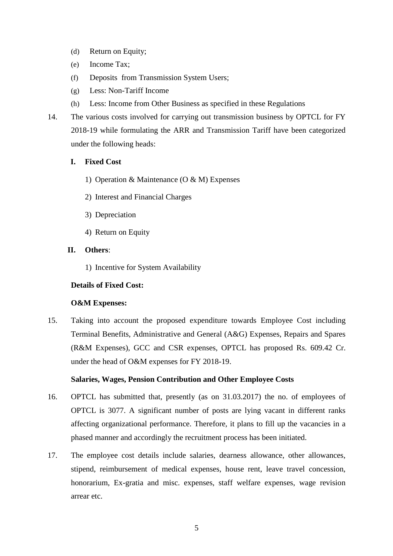- (d) Return on Equity;
- (e) Income Tax;
- (f) Deposits from Transmission System Users;
- (g) Less: Non-Tariff Income
- (h) Less: Income from Other Business as specified in these Regulations
- 14. The various costs involved for carrying out transmission business by OPTCL for FY 2018-19 while formulating the ARR and Transmission Tariff have been categorized under the following heads:
	- **I. Fixed Cost** 
		- 1) Operation & Maintenance (O & M) Expenses
		- 2) Interest and Financial Charges
		- 3) Depreciation
		- 4) Return on Equity

# **II. Others**:

1) Incentive for System Availability

# **Details of Fixed Cost:**

# **O&M Expenses:**

15. Taking into account the proposed expenditure towards Employee Cost including Terminal Benefits, Administrative and General (A&G) Expenses, Repairs and Spares (R&M Expenses), GCC and CSR expenses, OPTCL has proposed Rs. 609.42 Cr. under the head of O&M expenses for FY 2018-19.

# **Salaries, Wages, Pension Contribution and Other Employee Costs**

- 16. OPTCL has submitted that, presently (as on 31.03.2017) the no. of employees of OPTCL is 3077. A significant number of posts are lying vacant in different ranks affecting organizational performance. Therefore, it plans to fill up the vacancies in a phased manner and accordingly the recruitment process has been initiated.
- 17. The employee cost details include salaries, dearness allowance, other allowances, stipend, reimbursement of medical expenses, house rent, leave travel concession, honorarium, Ex-gratia and misc. expenses, staff welfare expenses, wage revision arrear etc.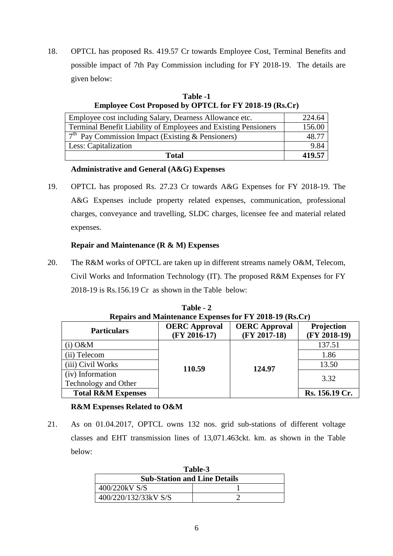18. OPTCL has proposed Rs. 419.57 Cr towards Employee Cost, Terminal Benefits and possible impact of 7th Pay Commission including for FY 2018-19. The details are given below:

| <b>Employee Cost Proposed by OPTCL for FY 2018-19 (Rs.Cr)</b>   |        |
|-----------------------------------------------------------------|--------|
| Employee cost including Salary, Dearness Allowance etc.         | 224.64 |
| Terminal Benefit Liability of Employees and Existing Pensioners | 156.00 |
| $7th$ Pay Commission Impact (Existing & Pensioners)             | 48.77  |
| Less: Capitalization                                            | 9.84   |
| Total                                                           | 419.57 |

**Table -1** 

# **Administrative and General (A&G) Expenses**

19. OPTCL has proposed Rs. 27.23 Cr towards A&G Expenses for FY 2018-19. The A&G Expenses include property related expenses, communication, professional charges, conveyance and travelling, SLDC charges, licensee fee and material related expenses.

# **Repair and Maintenance (R & M) Expenses**

20. The R&M works of OPTCL are taken up in different streams namely O&M, Telecom, Civil Works and Information Technology (IT). The proposed R&M Expenses for FY 2018-19 is Rs.156.19 Cr as shown in the Table below:

| Repairs and Maintenance Expenses for FY 2018-19 (Rs.Cr) |                                        |                                        |                              |  |
|---------------------------------------------------------|----------------------------------------|----------------------------------------|------------------------------|--|
| <b>Particulars</b>                                      | <b>OERC</b> Approval<br>$(FY 2016-17)$ | <b>OERC</b> Approval<br>$(FY 2017-18)$ | Projection<br>$(FY 2018-19)$ |  |
| $(i)$ O&M                                               |                                        |                                        | 137.51                       |  |
| (ii) Telecom                                            |                                        |                                        | 1.86                         |  |
| (iii) Civil Works                                       | 110.59                                 | 124.97                                 | 13.50                        |  |
| (iv) Information                                        |                                        |                                        | 3.32                         |  |
| Technology and Other                                    |                                        |                                        |                              |  |
| <b>Total R&amp;M Expenses</b>                           |                                        |                                        | Rs. 156.19 Cr.               |  |

**Table - 2** 

# **R&M Expenses Related to O&M**

21. As on 01.04.2017, OPTCL owns 132 nos. grid sub-stations of different voltage classes and EHT transmission lines of 13,071.463ckt. km. as shown in the Table below:

| Table-3                             |  |  |
|-------------------------------------|--|--|
| <b>Sub-Station and Line Details</b> |  |  |
| 400/220kV S/S                       |  |  |
| 400/220/132/33kV S/S                |  |  |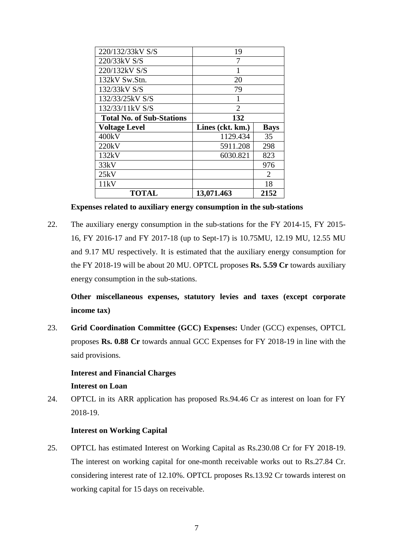| 220/132/33kV S/S                 | 19               |             |  |
|----------------------------------|------------------|-------------|--|
| 220/33kV S/S                     | 7                |             |  |
| 220/132kV S/S                    |                  |             |  |
| 132kV Sw.Stn.                    | 20               |             |  |
| 132/33kV S/S                     | 79               |             |  |
| 132/33/25kV S/S                  |                  |             |  |
| 132/33/11kV S/S                  | $\overline{2}$   |             |  |
| <b>Total No. of Sub-Stations</b> | 132              |             |  |
|                                  |                  |             |  |
| <b>Voltage Level</b>             | Lines (ckt. km.) | <b>Bays</b> |  |
| 400kV                            | 1129.434         | 35          |  |
| 220kV                            | 5911.208         | 298         |  |
| 132kV                            | 6030.821         | 823         |  |
| 33kV                             |                  | 976         |  |
| 25kV                             |                  | 2           |  |
| 11kV                             |                  | 18          |  |

**Expenses related to auxiliary energy consumption in the sub-stations** 

22. The auxiliary energy consumption in the sub-stations for the FY 2014-15, FY 2015- 16, FY 2016-17 and FY 2017-18 (up to Sept-17) is 10.75MU, 12.19 MU, 12.55 MU and 9.17 MU respectively. It is estimated that the auxiliary energy consumption for the FY 2018-19 will be about 20 MU. OPTCL proposes **Rs. 5.59 Cr** towards auxiliary energy consumption in the sub-stations.

**Other miscellaneous expenses, statutory levies and taxes (except corporate income tax)** 

23. **Grid Coordination Committee (GCC) Expenses:** Under (GCC) expenses, OPTCL proposes **Rs. 0.88 Cr** towards annual GCC Expenses for FY 2018-19 in line with the said provisions.

# **Interest and Financial Charges Interest on Loan**

24. OPTCL in its ARR application has proposed Rs.94.46 Cr as interest on loan for FY 2018-19.

# **Interest on Working Capital**

25. OPTCL has estimated Interest on Working Capital as Rs.230.08 Cr for FY 2018-19. The interest on working capital for one-month receivable works out to Rs.27.84 Cr. considering interest rate of 12.10%. OPTCL proposes Rs.13.92 Cr towards interest on working capital for 15 days on receivable.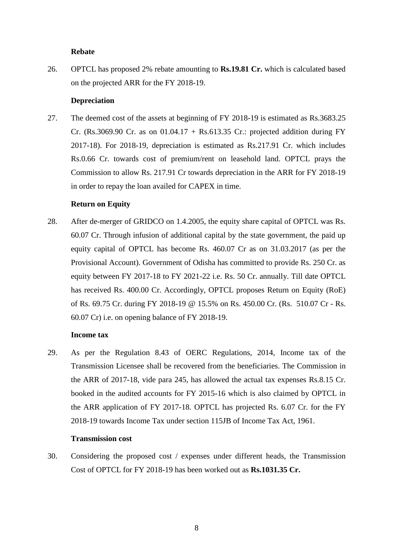## **Rebate**

26. OPTCL has proposed 2% rebate amounting to **Rs.19.81 Cr.** which is calculated based on the projected ARR for the FY 2018-19.

#### **Depreciation**

27. The deemed cost of the assets at beginning of FY 2018-19 is estimated as Rs.3683.25 Cr. (Rs.3069.90 Cr. as on  $01.04.17 +$  Rs.613.35 Cr.: projected addition during FY 2017-18). For 2018-19, depreciation is estimated as Rs.217.91 Cr. which includes Rs.0.66 Cr. towards cost of premium/rent on leasehold land. OPTCL prays the Commission to allow Rs. 217.91 Cr towards depreciation in the ARR for FY 2018-19 in order to repay the loan availed for CAPEX in time.

# **Return on Equity**

28. After de-merger of GRIDCO on 1.4.2005, the equity share capital of OPTCL was Rs. 60.07 Cr. Through infusion of additional capital by the state government, the paid up equity capital of OPTCL has become Rs. 460.07 Cr as on 31.03.2017 (as per the Provisional Account). Government of Odisha has committed to provide Rs. 250 Cr. as equity between FY 2017-18 to FY 2021-22 i.e. Rs. 50 Cr. annually. Till date OPTCL has received Rs. 400.00 Cr. Accordingly, OPTCL proposes Return on Equity (RoE) of Rs. 69.75 Cr. during FY 2018-19 @ 15.5% on Rs. 450.00 Cr. (Rs. 510.07 Cr - Rs. 60.07 Cr) i.e. on opening balance of FY 2018-19.

#### **Income tax**

29. As per the Regulation 8.43 of OERC Regulations, 2014, Income tax of the Transmission Licensee shall be recovered from the beneficiaries. The Commission in the ARR of 2017-18, vide para 245, has allowed the actual tax expenses Rs.8.15 Cr. booked in the audited accounts for FY 2015-16 which is also claimed by OPTCL in the ARR application of FY 2017-18. OPTCL has projected Rs. 6.07 Cr. for the FY 2018-19 towards Income Tax under section 115JB of Income Tax Act, 1961.

# **Transmission cost**

30. Considering the proposed cost / expenses under different heads, the Transmission Cost of OPTCL for FY 2018-19 has been worked out as **Rs.1031.35 Cr.**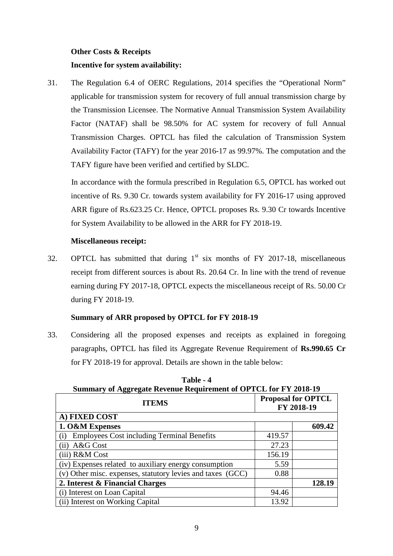# **Other Costs & Receipts Incentive for system availability:**

31. The Regulation 6.4 of OERC Regulations, 2014 specifies the "Operational Norm" applicable for transmission system for recovery of full annual transmission charge by the Transmission Licensee. The Normative Annual Transmission System Availability Factor (NATAF) shall be 98.50% for AC system for recovery of full Annual Transmission Charges. OPTCL has filed the calculation of Transmission System Availability Factor (TAFY) for the year 2016-17 as 99.97%. The computation and the TAFY figure have been verified and certified by SLDC.

 In accordance with the formula prescribed in Regulation 6.5, OPTCL has worked out incentive of Rs. 9.30 Cr. towards system availability for FY 2016-17 using approved ARR figure of Rs.623.25 Cr. Hence, OPTCL proposes Rs. 9.30 Cr towards Incentive for System Availability to be allowed in the ARR for FY 2018-19.

# **Miscellaneous receipt:**

32. OPTCL has submitted that during  $1<sup>st</sup>$  six months of FY 2017-18, miscellaneous receipt from different sources is about Rs. 20.64 Cr. In line with the trend of revenue earning during FY 2017-18, OPTCL expects the miscellaneous receipt of Rs. 50.00 Cr during FY 2018-19.

# **Summary of ARR proposed by OPTCL for FY 2018-19**

33. Considering all the proposed expenses and receipts as explained in foregoing paragraphs, OPTCL has filed its Aggregate Revenue Requirement of **Rs.990.65 Cr**  for FY 2018-19 for approval. Details are shown in the table below:

| <b>Summary of Aggregate Revenue Requirement of OPTCL for FY 2018-19</b> |                                         |        |  |  |
|-------------------------------------------------------------------------|-----------------------------------------|--------|--|--|
| <b>ITEMS</b>                                                            | <b>Proposal for OPTCL</b><br>FY 2018-19 |        |  |  |
| A) FIXED COST                                                           |                                         |        |  |  |
| 1. O&M Expenses                                                         |                                         | 609.42 |  |  |
| <b>Employees Cost including Terminal Benefits</b><br>(i)                | 419.57                                  |        |  |  |
| $(ii)$ A&G Cost                                                         | 27.23                                   |        |  |  |
| (iii) R&M Cost<br>156.19                                                |                                         |        |  |  |
| (iv) Expenses related to auxiliary energy consumption                   | 5.59                                    |        |  |  |
| (v) Other misc. expenses, statutory levies and taxes (GCC)              | 0.88                                    |        |  |  |
| 2. Interest & Financial Charges                                         |                                         | 128.19 |  |  |
| (i) Interest on Loan Capital                                            | 94.46                                   |        |  |  |
| (ii) Interest on Working Capital                                        | 13.92                                   |        |  |  |

**Table - 4**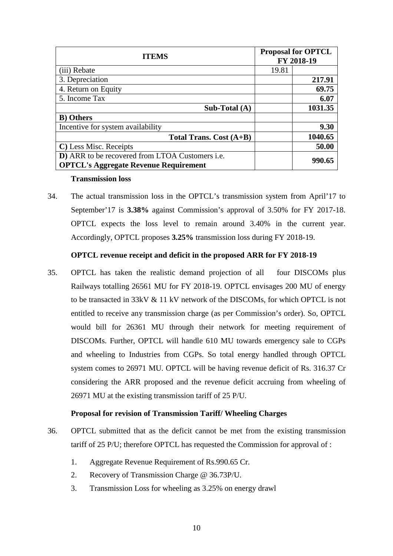| <b>ITEMS</b>                                                                                    | <b>Proposal for OPTCL</b><br>FY 2018-19 |         |
|-------------------------------------------------------------------------------------------------|-----------------------------------------|---------|
| (iii) Rebate                                                                                    | 19.81                                   |         |
| 3. Depreciation                                                                                 |                                         | 217.91  |
| 4. Return on Equity                                                                             |                                         | 69.75   |
| 5. Income Tax                                                                                   |                                         | 6.07    |
| Sub-Total $(A)$                                                                                 |                                         | 1031.35 |
| <b>B</b> ) Others                                                                               |                                         |         |
| Incentive for system availability                                                               |                                         | 9.30    |
| Total Trans. Cost $(A+B)$                                                                       |                                         | 1040.65 |
| C) Less Misc. Receipts                                                                          |                                         | 50.00   |
| D) ARR to be recovered from LTOA Customers i.e.<br><b>OPTCL's Aggregate Revenue Requirement</b> |                                         | 990.65  |

#### **Transmission loss**

34. The actual transmission loss in the OPTCL's transmission system from April'17 to September'17 is **3.38%** against Commission's approval of 3.50% for FY 2017-18. OPTCL expects the loss level to remain around 3.40% in the current year. Accordingly, OPTCL proposes **3.25%** transmission loss during FY 2018-19.

# **OPTCL revenue receipt and deficit in the proposed ARR for FY 2018-19**

35. OPTCL has taken the realistic demand projection of all four DISCOMs plus Railways totalling 26561 MU for FY 2018-19. OPTCL envisages 200 MU of energy to be transacted in 33kV & 11 kV network of the DISCOMs, for which OPTCL is not entitled to receive any transmission charge (as per Commission's order). So, OPTCL would bill for 26361 MU through their network for meeting requirement of DISCOMs. Further, OPTCL will handle 610 MU towards emergency sale to CGPs and wheeling to Industries from CGPs. So total energy handled through OPTCL system comes to 26971 MU. OPTCL will be having revenue deficit of Rs. 316.37 Cr considering the ARR proposed and the revenue deficit accruing from wheeling of 26971 MU at the existing transmission tariff of 25 P/U.

# **Proposal for revision of Transmission Tariff/ Wheeling Charges**

- 36. OPTCL submitted that as the deficit cannot be met from the existing transmission tariff of 25 P/U; therefore OPTCL has requested the Commission for approval of :
	- 1. Aggregate Revenue Requirement of Rs.990.65 Cr.
	- 2. Recovery of Transmission Charge @ 36.73P/U.
	- 3. Transmission Loss for wheeling as 3.25% on energy drawl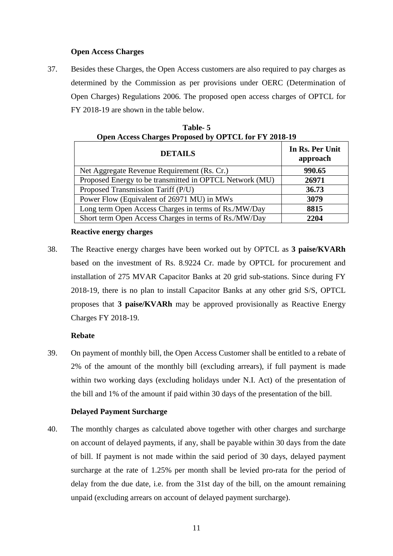# **Open Access Charges**

37. Besides these Charges, the Open Access customers are also required to pay charges as determined by the Commission as per provisions under OERC (Determination of Open Charges) Regulations 2006. The proposed open access charges of OPTCL for FY 2018-19 are shown in the table below.

| <b>DETAILS</b>                                          | In Rs. Per Unit<br>approach |
|---------------------------------------------------------|-----------------------------|
| Net Aggregate Revenue Requirement (Rs. Cr.)             | 990.65                      |
| Proposed Energy to be transmitted in OPTCL Network (MU) | 26971                       |
| Proposed Transmission Tariff (P/U)                      | 36.73                       |
| Power Flow (Equivalent of 26971 MU) in MWs              | 3079                        |
| Long term Open Access Charges in terms of Rs./MW/Day    | 8815                        |
| Short term Open Access Charges in terms of Rs./MW/Day   | 2204                        |

| Table- 5                                             |  |
|------------------------------------------------------|--|
| Open Access Charges Proposed by OPTCL for FY 2018-19 |  |

#### **Reactive energy charges**

38. The Reactive energy charges have been worked out by OPTCL as **3 paise/KVARh** based on the investment of Rs. 8.9224 Cr. made by OPTCL for procurement and installation of 275 MVAR Capacitor Banks at 20 grid sub-stations. Since during FY 2018-19, there is no plan to install Capacitor Banks at any other grid S/S, OPTCL proposes that **3 paise/KVARh** may be approved provisionally as Reactive Energy Charges FY 2018-19.

#### **Rebate**

39. On payment of monthly bill, the Open Access Customer shall be entitled to a rebate of 2% of the amount of the monthly bill (excluding arrears), if full payment is made within two working days (excluding holidays under N.I. Act) of the presentation of the bill and 1% of the amount if paid within 30 days of the presentation of the bill.

# **Delayed Payment Surcharge**

40. The monthly charges as calculated above together with other charges and surcharge on account of delayed payments, if any, shall be payable within 30 days from the date of bill. If payment is not made within the said period of 30 days, delayed payment surcharge at the rate of 1.25% per month shall be levied pro-rata for the period of delay from the due date, i.e. from the 31st day of the bill, on the amount remaining unpaid (excluding arrears on account of delayed payment surcharge).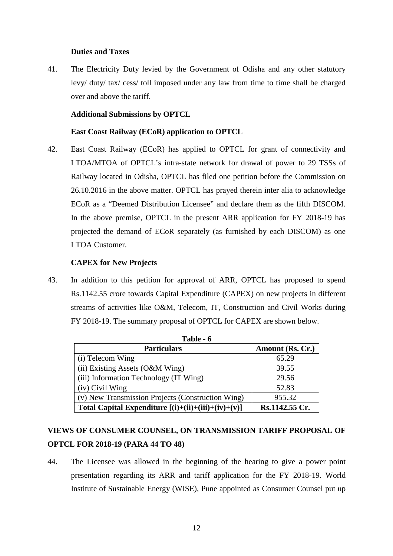# **Duties and Taxes**

41. The Electricity Duty levied by the Government of Odisha and any other statutory levy/ duty/ tax/ cess/ toll imposed under any law from time to time shall be charged over and above the tariff.

## **Additional Submissions by OPTCL**

#### **East Coast Railway (ECoR) application to OPTCL**

42. East Coast Railway (ECoR) has applied to OPTCL for grant of connectivity and LTOA/MTOA of OPTCL's intra-state network for drawal of power to 29 TSSs of Railway located in Odisha, OPTCL has filed one petition before the Commission on 26.10.2016 in the above matter. OPTCL has prayed therein inter alia to acknowledge ECoR as a "Deemed Distribution Licensee" and declare them as the fifth DISCOM. In the above premise, OPTCL in the present ARR application for FY 2018-19 has projected the demand of ECoR separately (as furnished by each DISCOM) as one LTOA Customer.

#### **CAPEX for New Projects**

43. In addition to this petition for approval of ARR, OPTCL has proposed to spend Rs.1142.55 crore towards Capital Expenditure (CAPEX) on new projects in different streams of activities like O&M, Telecom, IT, Construction and Civil Works during FY 2018-19. The summary proposal of OPTCL for CAPEX are shown below.

| Table - 6                                             |                  |  |  |
|-------------------------------------------------------|------------------|--|--|
| <b>Particulars</b>                                    | Amount (Rs. Cr.) |  |  |
| (i) Telecom Wing                                      | 65.29            |  |  |
| (ii) Existing Assets $(O&M\text{Wing})$               | 39.55            |  |  |
| (iii) Information Technology (IT Wing)                | 29.56            |  |  |
| (iv) Civil Wing                                       | 52.83            |  |  |
| (v) New Transmission Projects (Construction Wing)     | 955.32           |  |  |
| Total Capital Expenditure $[(i)+(ii)+(iii)+(iv)+(v)]$ | Rs.1142.55 Cr.   |  |  |

# **VIEWS OF CONSUMER COUNSEL, ON TRANSMISSION TARIFF PROPOSAL OF OPTCL FOR 2018-19 (PARA 44 TO 48)**

44. The Licensee was allowed in the beginning of the hearing to give a power point presentation regarding its ARR and tariff application for the FY 2018-19. World Institute of Sustainable Energy (WISE), Pune appointed as Consumer Counsel put up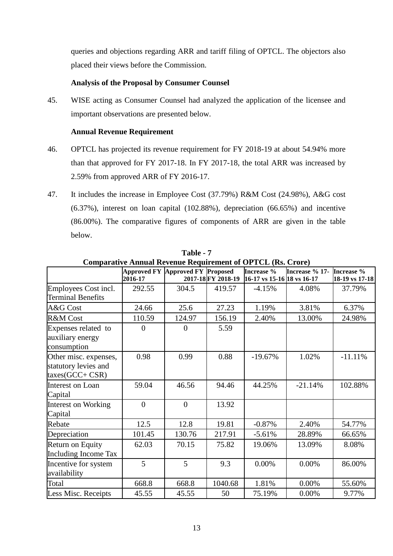queries and objections regarding ARR and tariff filing of OPTCL. The objectors also placed their views before the Commission.

# **Analysis of the Proposal by Consumer Counsel**

45. WISE acting as Consumer Counsel had analyzed the application of the licensee and important observations are presented below.

# **Annual Revenue Requirement**

- 46. OPTCL has projected its revenue requirement for FY 2018-19 at about 54.94% more than that approved for FY 2017-18. In FY 2017-18, the total ARR was increased by 2.59% from approved ARR of FY 2016-17.
- 47. It includes the increase in Employee Cost (37.79%) R&M Cost (24.98%), A&G cost (6.37%), interest on loan capital (102.88%), depreciation (66.65%) and incentive (86.00%). The comparative figures of components of ARR are given in the table below.

|                                                                     | man's minum nevenue nequitement of 01 FCD (not Croft) |                                  |                    |                            |                |                |
|---------------------------------------------------------------------|-------------------------------------------------------|----------------------------------|--------------------|----------------------------|----------------|----------------|
|                                                                     |                                                       | Approved FY Approved FY Proposed |                    | Increase %                 | Increase % 17- | Increase %     |
|                                                                     | 2016-17                                               |                                  | 2017-18 FY 2018-19 | 16-17 vs 15-16 18 vs 16-17 |                | 18-19 vs 17-18 |
| Employees Cost incl.<br><b>Terminal Benefits</b>                    | 292.55                                                | 304.5                            | 419.57             | $-4.15%$                   | 4.08%          | 37.79%         |
|                                                                     |                                                       |                                  |                    |                            |                |                |
| A&G Cost                                                            | 24.66                                                 | 25.6                             | 27.23              | 1.19%                      | 3.81%          | 6.37%          |
| R&M Cost                                                            | 110.59                                                | 124.97                           | 156.19             | 2.40%                      | 13.00%         | 24.98%         |
| Expenses related to<br>auxiliary energy<br>consumption              | $\overline{0}$                                        | $\overline{0}$                   | 5.59               |                            |                |                |
| Other misc. expenses,<br>statutory levies and<br>$taxes(GCC + CSR)$ | 0.98                                                  | 0.99                             | 0.88               | $-19.67%$                  | 1.02%          | $-11.11%$      |
| Interest on Loan<br>Capital                                         | 59.04                                                 | 46.56                            | 94.46              | 44.25%                     | $-21.14%$      | 102.88%        |
| <b>Interest on Working</b><br>Capital                               | $\overline{0}$                                        | $\overline{0}$                   | 13.92              |                            |                |                |
| Rebate                                                              | 12.5                                                  | 12.8                             | 19.81              | $-0.87%$                   | 2.40%          | 54.77%         |
| Depreciation                                                        | 101.45                                                | 130.76                           | 217.91             | $-5.61%$                   | 28.89%         | 66.65%         |
| Return on Equity<br><b>Including Income Tax</b>                     | 62.03                                                 | 70.15                            | 75.82              | 19.06%                     | 13.09%         | 8.08%          |
| Incentive for system<br>availability                                | 5                                                     | 5                                | 9.3                | 0.00%                      | 0.00%          | 86.00%         |
| Total                                                               | 668.8                                                 | 668.8                            | 1040.68            | 1.81%                      | 0.00%          | 55.60%         |
| Less Misc. Receipts                                                 | 45.55                                                 | 45.55                            | 50                 | 75.19%                     | 0.00%          | 9.77%          |

**Table - 7 Comparative Annual Revenue Requirement of OPTCL (Rs. Crore)**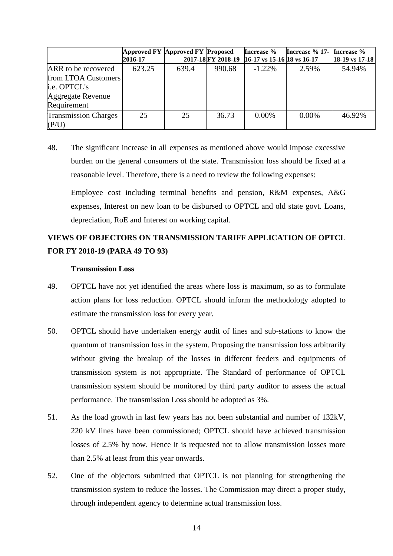|                                                                                                | Approved FY Approved FY Proposed<br>2016-17 |       |        | Increase %<br>2017-18 FY 2018-19 16-17 vs 15-16 18 vs 16-17 | Increase % 17- Increase % | $18-19$ vs 17-18 |
|------------------------------------------------------------------------------------------------|---------------------------------------------|-------|--------|-------------------------------------------------------------|---------------------------|------------------|
| ARR to be recovered<br>from LTOA Customers<br>i.e. OPTCL's<br>Aggregate Revenue<br>Requirement | 623.25                                      | 639.4 | 990.68 | $-1.22\%$                                                   | 2.59%                     | 54.94%           |
| <b>Transmission Charges</b><br>(P/U)                                                           | 25                                          | 25    | 36.73  | $0.00\%$                                                    | $0.00\%$                  | 46.92%           |

48. The significant increase in all expenses as mentioned above would impose excessive burden on the general consumers of the state. Transmission loss should be fixed at a reasonable level. Therefore, there is a need to review the following expenses:

Employee cost including terminal benefits and pension, R&M expenses, A&G expenses, Interest on new loan to be disbursed to OPTCL and old state govt. Loans, depreciation, RoE and Interest on working capital.

# **VIEWS OF OBJECTORS ON TRANSMISSION TARIFF APPLICATION OF OPTCL FOR FY 2018-19 (PARA 49 TO 93)**

# **Transmission Loss**

- 49. OPTCL have not yet identified the areas where loss is maximum, so as to formulate action plans for loss reduction. OPTCL should inform the methodology adopted to estimate the transmission loss for every year.
- 50. OPTCL should have undertaken energy audit of lines and sub-stations to know the quantum of transmission loss in the system. Proposing the transmission loss arbitrarily without giving the breakup of the losses in different feeders and equipments of transmission system is not appropriate. The Standard of performance of OPTCL transmission system should be monitored by third party auditor to assess the actual performance. The transmission Loss should be adopted as 3%.
- 51. As the load growth in last few years has not been substantial and number of 132kV, 220 kV lines have been commissioned; OPTCL should have achieved transmission losses of 2.5% by now. Hence it is requested not to allow transmission losses more than 2.5% at least from this year onwards.
- 52. One of the objectors submitted that OPTCL is not planning for strengthening the transmission system to reduce the losses. The Commission may direct a proper study, through independent agency to determine actual transmission loss.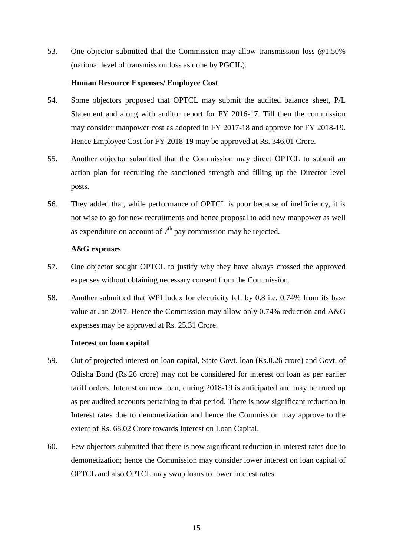53. One objector submitted that the Commission may allow transmission loss @1.50% (national level of transmission loss as done by PGCIL).

## **Human Resource Expenses/ Employee Cost**

- 54. Some objectors proposed that OPTCL may submit the audited balance sheet, P/L Statement and along with auditor report for FY 2016-17. Till then the commission may consider manpower cost as adopted in FY 2017-18 and approve for FY 2018-19. Hence Employee Cost for FY 2018-19 may be approved at Rs. 346.01 Crore.
- 55. Another objector submitted that the Commission may direct OPTCL to submit an action plan for recruiting the sanctioned strength and filling up the Director level posts.
- 56. They added that, while performance of OPTCL is poor because of inefficiency, it is not wise to go for new recruitments and hence proposal to add new manpower as well as expenditure on account of  $7<sup>th</sup>$  pay commission may be rejected.

## **A&G expenses**

- 57. One objector sought OPTCL to justify why they have always crossed the approved expenses without obtaining necessary consent from the Commission.
- 58. Another submitted that WPI index for electricity fell by 0.8 i.e. 0.74% from its base value at Jan 2017. Hence the Commission may allow only 0.74% reduction and A&G expenses may be approved at Rs. 25.31 Crore.

#### **Interest on loan capital**

- 59. Out of projected interest on loan capital, State Govt. loan (Rs.0.26 crore) and Govt. of Odisha Bond (Rs.26 crore) may not be considered for interest on loan as per earlier tariff orders. Interest on new loan, during 2018-19 is anticipated and may be trued up as per audited accounts pertaining to that period. There is now significant reduction in Interest rates due to demonetization and hence the Commission may approve to the extent of Rs. 68.02 Crore towards Interest on Loan Capital.
- 60. Few objectors submitted that there is now significant reduction in interest rates due to demonetization; hence the Commission may consider lower interest on loan capital of OPTCL and also OPTCL may swap loans to lower interest rates.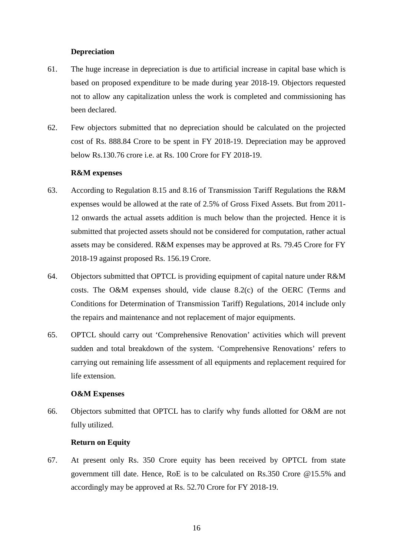## **Depreciation**

- 61. The huge increase in depreciation is due to artificial increase in capital base which is based on proposed expenditure to be made during year 2018-19. Objectors requested not to allow any capitalization unless the work is completed and commissioning has been declared.
- 62. Few objectors submitted that no depreciation should be calculated on the projected cost of Rs. 888.84 Crore to be spent in FY 2018-19. Depreciation may be approved below Rs.130.76 crore i.e. at Rs. 100 Crore for FY 2018-19.

#### **R&M expenses**

- 63. According to Regulation 8.15 and 8.16 of Transmission Tariff Regulations the R&M expenses would be allowed at the rate of 2.5% of Gross Fixed Assets. But from 2011- 12 onwards the actual assets addition is much below than the projected. Hence it is submitted that projected assets should not be considered for computation, rather actual assets may be considered. R&M expenses may be approved at Rs. 79.45 Crore for FY 2018-19 against proposed Rs. 156.19 Crore.
- 64. Objectors submitted that OPTCL is providing equipment of capital nature under R&M costs. The O&M expenses should, vide clause 8.2(c) of the OERC (Terms and Conditions for Determination of Transmission Tariff) Regulations, 2014 include only the repairs and maintenance and not replacement of major equipments.
- 65. OPTCL should carry out 'Comprehensive Renovation' activities which will prevent sudden and total breakdown of the system. 'Comprehensive Renovations' refers to carrying out remaining life assessment of all equipments and replacement required for life extension.

#### **O&M Expenses**

66. Objectors submitted that OPTCL has to clarify why funds allotted for O&M are not fully utilized.

#### **Return on Equity**

67. At present only Rs. 350 Crore equity has been received by OPTCL from state government till date. Hence, RoE is to be calculated on Rs.350 Crore @15.5% and accordingly may be approved at Rs. 52.70 Crore for FY 2018-19.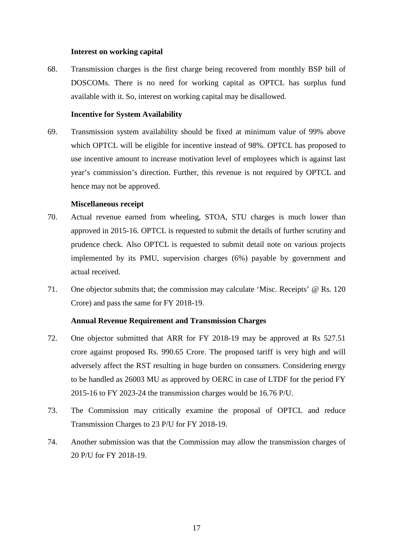#### **Interest on working capital**

68. Transmission charges is the first charge being recovered from monthly BSP bill of DOSCOMs. There is no need for working capital as OPTCL has surplus fund available with it. So, interest on working capital may be disallowed.

## **Incentive for System Availability**

69. Transmission system availability should be fixed at minimum value of 99% above which OPTCL will be eligible for incentive instead of 98%. OPTCL has proposed to use incentive amount to increase motivation level of employees which is against last year's commission's direction. Further, this revenue is not required by OPTCL and hence may not be approved.

#### **Miscellaneous receipt**

- 70. Actual revenue earned from wheeling, STOA, STU charges is much lower than approved in 2015-16. OPTCL is requested to submit the details of further scrutiny and prudence check. Also OPTCL is requested to submit detail note on various projects implemented by its PMU, supervision charges (6%) payable by government and actual received.
- 71. One objector submits that; the commission may calculate 'Misc. Receipts' @ Rs. 120 Crore) and pass the same for FY 2018-19.

# **Annual Revenue Requirement and Transmission Charges**

- 72. One objector submitted that ARR for FY 2018-19 may be approved at Rs 527.51 crore against proposed Rs. 990.65 Crore. The proposed tariff is very high and will adversely affect the RST resulting in huge burden on consumers. Considering energy to be handled as 26003 MU as approved by OERC in case of LTDF for the period FY 2015-16 to FY 2023-24 the transmission charges would be 16.76 P/U.
- 73. The Commission may critically examine the proposal of OPTCL and reduce Transmission Charges to 23 P/U for FY 2018-19.
- 74. Another submission was that the Commission may allow the transmission charges of 20 P/U for FY 2018-19.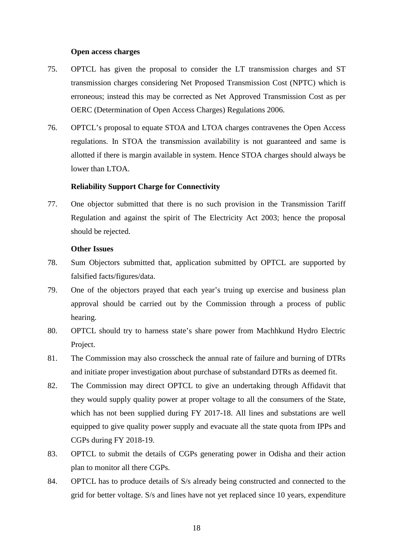#### **Open access charges**

- 75. OPTCL has given the proposal to consider the LT transmission charges and ST transmission charges considering Net Proposed Transmission Cost (NPTC) which is erroneous; instead this may be corrected as Net Approved Transmission Cost as per OERC (Determination of Open Access Charges) Regulations 2006.
- 76. OPTCL's proposal to equate STOA and LTOA charges contravenes the Open Access regulations. In STOA the transmission availability is not guaranteed and same is allotted if there is margin available in system. Hence STOA charges should always be lower than LTOA.

# **Reliability Support Charge for Connectivity**

77. One objector submitted that there is no such provision in the Transmission Tariff Regulation and against the spirit of The Electricity Act 2003; hence the proposal should be rejected.

#### **Other Issues**

- 78. Sum Objectors submitted that, application submitted by OPTCL are supported by falsified facts/figures/data.
- 79. One of the objectors prayed that each year's truing up exercise and business plan approval should be carried out by the Commission through a process of public hearing.
- 80. OPTCL should try to harness state's share power from Machhkund Hydro Electric Project.
- 81. The Commission may also crosscheck the annual rate of failure and burning of DTRs and initiate proper investigation about purchase of substandard DTRs as deemed fit.
- 82. The Commission may direct OPTCL to give an undertaking through Affidavit that they would supply quality power at proper voltage to all the consumers of the State, which has not been supplied during FY 2017-18. All lines and substations are well equipped to give quality power supply and evacuate all the state quota from IPPs and CGPs during FY 2018-19.
- 83. OPTCL to submit the details of CGPs generating power in Odisha and their action plan to monitor all there CGPs.
- 84. OPTCL has to produce details of S/s already being constructed and connected to the grid for better voltage. S/s and lines have not yet replaced since 10 years, expenditure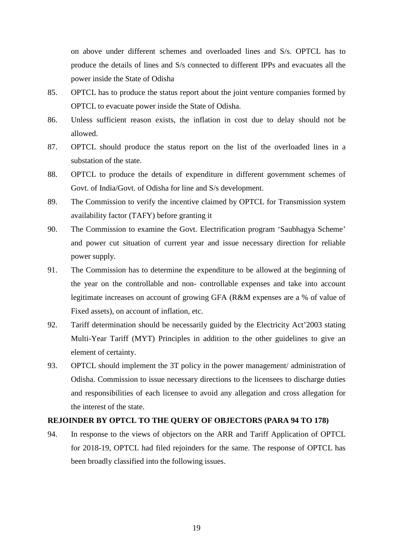on above under different schemes and overloaded lines and S/s. OPTCL has to produce the details of lines and S/s connected to different IPPs and evacuates all the power inside the State of Odisha

- 85. OPTCL has to produce the status report about the joint venture companies formed by OPTCL to evacuate power inside the State of Odisha.
- 86. Unless sufficient reason exists, the inflation in cost due to delay should not be allowed.
- 87. OPTCL should produce the status report on the list of the overloaded lines in a substation of the state.
- 88. OPTCL to produce the details of expenditure in different government schemes of Govt. of India/Govt. of Odisha for line and S/s development.
- 89. The Commission to verify the incentive claimed by OPTCL for Transmission system availability factor (TAFY) before granting it
- 90. The Commission to examine the Govt. Electrification program 'Saubhagya Scheme' and power cut situation of current year and issue necessary direction for reliable power supply.
- 91. The Commission has to determine the expenditure to be allowed at the beginning of the year on the controllable and non- controllable expenses and take into account legitimate increases on account of growing GFA (R&M expenses are a % of value of Fixed assets), on account of inflation, etc.
- 92. Tariff determination should be necessarily guided by the Electricity Act'2003 stating Multi-Year Tariff (MYT) Principles in addition to the other guidelines to give an element of certainty.
- 93. OPTCL should implement the 3T policy in the power management/ administration of Odisha. Commission to issue necessary directions to the licensees to discharge duties and responsibilities of each licensee to avoid any allegation and cross allegation for the interest of the state.

# **REJOINDER BY OPTCL TO THE QUERY OF OBJECTORS (PARA 94 TO 178)**

94. In response to the views of objectors on the ARR and Tariff Application of OPTCL for 2018-19, OPTCL had filed rejoinders for the same. The response of OPTCL has been broadly classified into the following issues.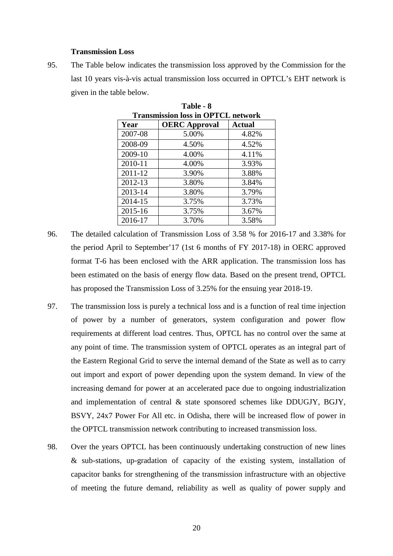#### **Transmission Loss**

95. The Table below indicates the transmission loss approved by the Commission for the last 10 years vis-à-vis actual transmission loss occurred in OPTCL's EHT network is given in the table below.

| <b>Transmission loss in OPTCL network</b> |                      |               |  |  |
|-------------------------------------------|----------------------|---------------|--|--|
| Year                                      | <b>OERC</b> Approval | <b>Actual</b> |  |  |
| 2007-08                                   | 5.00%                | 4.82%         |  |  |
| 2008-09                                   | 4.50%                | 4.52%         |  |  |
| 2009-10                                   | 4.00%                | 4.11%         |  |  |
| 2010-11                                   | 4.00%                | 3.93%         |  |  |
| 2011-12                                   | 3.90%                | 3.88%         |  |  |
| 2012-13                                   | 3.80%                | 3.84%         |  |  |
| 2013-14                                   | 3.80%                | 3.79%         |  |  |
| 2014-15                                   | 3.75%                | 3.73%         |  |  |
| 2015-16                                   | 3.75%                | 3.67%         |  |  |
| 2016-17                                   | 3.70%                | 3.58%         |  |  |

**Table - 8** 

- 96. The detailed calculation of Transmission Loss of 3.58 % for 2016-17 and 3.38% for the period April to September'17 (1st 6 months of FY 2017-18) in OERC approved format T-6 has been enclosed with the ARR application. The transmission loss has been estimated on the basis of energy flow data. Based on the present trend, OPTCL has proposed the Transmission Loss of 3.25% for the ensuing year 2018-19.
- 97. The transmission loss is purely a technical loss and is a function of real time injection of power by a number of generators, system configuration and power flow requirements at different load centres. Thus, OPTCL has no control over the same at any point of time. The transmission system of OPTCL operates as an integral part of the Eastern Regional Grid to serve the internal demand of the State as well as to carry out import and export of power depending upon the system demand. In view of the increasing demand for power at an accelerated pace due to ongoing industrialization and implementation of central & state sponsored schemes like DDUGJY, BGJY, BSVY, 24x7 Power For All etc. in Odisha, there will be increased flow of power in the OPTCL transmission network contributing to increased transmission loss.
- 98. Over the years OPTCL has been continuously undertaking construction of new lines & sub-stations, up-gradation of capacity of the existing system, installation of capacitor banks for strengthening of the transmission infrastructure with an objective of meeting the future demand, reliability as well as quality of power supply and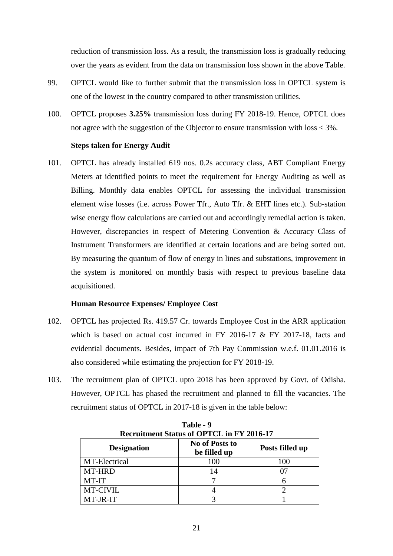reduction of transmission loss. As a result, the transmission loss is gradually reducing over the years as evident from the data on transmission loss shown in the above Table.

- 99. OPTCL would like to further submit that the transmission loss in OPTCL system is one of the lowest in the country compared to other transmission utilities.
- 100. OPTCL proposes **3.25%** transmission loss during FY 2018-19. Hence, OPTCL does not agree with the suggestion of the Objector to ensure transmission with loss < 3%.

#### **Steps taken for Energy Audit**

101. OPTCL has already installed 619 nos. 0.2s accuracy class, ABT Compliant Energy Meters at identified points to meet the requirement for Energy Auditing as well as Billing. Monthly data enables OPTCL for assessing the individual transmission element wise losses (i.e. across Power Tfr., Auto Tfr. & EHT lines etc.). Sub-station wise energy flow calculations are carried out and accordingly remedial action is taken. However, discrepancies in respect of Metering Convention & Accuracy Class of Instrument Transformers are identified at certain locations and are being sorted out. By measuring the quantum of flow of energy in lines and substations, improvement in the system is monitored on monthly basis with respect to previous baseline data acquisitioned.

#### **Human Resource Expenses/ Employee Cost**

- 102. OPTCL has projected Rs. 419.57 Cr. towards Employee Cost in the ARR application which is based on actual cost incurred in FY 2016-17 & FY 2017-18, facts and evidential documents. Besides, impact of 7th Pay Commission w.e.f. 01.01.2016 is also considered while estimating the projection for FY 2018-19.
- 103. The recruitment plan of OPTCL upto 2018 has been approved by Govt. of Odisha. However, OPTCL has phased the recruitment and planned to fill the vacancies. The recruitment status of OPTCL in 2017-18 is given in the table below:

| <b>Recruitment Status of OPTCL in FY 2016-17</b> |                                |                 |  |  |  |  |
|--------------------------------------------------|--------------------------------|-----------------|--|--|--|--|
| <b>Designation</b>                               | No of Posts to<br>be filled up | Posts filled up |  |  |  |  |
| MT-Electrical                                    | 100                            | 100             |  |  |  |  |
| MT-HRD                                           | 14                             | 07              |  |  |  |  |
| MT-IT                                            |                                |                 |  |  |  |  |
| MT-CIVIL                                         |                                |                 |  |  |  |  |
| MT-JR-IT                                         |                                |                 |  |  |  |  |

| Table - 9                          |  |
|------------------------------------|--|
| uitment Status of OPTCL in FY 2016 |  |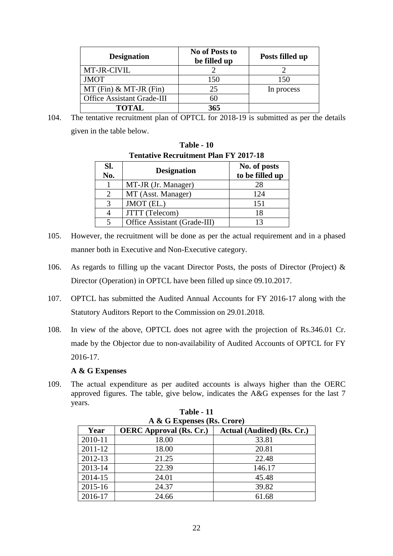| <b>Designation</b>                | No of Posts to<br>be filled up | Posts filled up |
|-----------------------------------|--------------------------------|-----------------|
| MT-JR-CIVIL                       |                                |                 |
| <b>JMOT</b>                       | 150                            | 150             |
| $MT(Fin)$ & MT-JR (Fin)           | 25                             | In process      |
| <b>Office Assistant Grade-III</b> | 60                             |                 |
| <b>TOTAL</b>                      | 365                            |                 |

104. The tentative recruitment plan of OPTCL for 2018-19 is submitted as per the details given in the table below.

**Table - 10** 

| <b>Tentative Recruitment Plan FY 2017-18</b> |                              |                                 |  |  |  |  |
|----------------------------------------------|------------------------------|---------------------------------|--|--|--|--|
| Sl.<br>No.                                   | <b>Designation</b>           | No. of posts<br>to be filled up |  |  |  |  |
|                                              | MT-JR (Jr. Manager)          | 28                              |  |  |  |  |
|                                              | MT (Asst. Manager)           | 124                             |  |  |  |  |
| 3                                            | JMOT (EL.)                   | 151                             |  |  |  |  |
|                                              | JTTT (Telecom)               | 18                              |  |  |  |  |
|                                              | Office Assistant (Grade-III) |                                 |  |  |  |  |

- 105. However, the recruitment will be done as per the actual requirement and in a phased manner both in Executive and Non-Executive category.
- 106. As regards to filling up the vacant Director Posts, the posts of Director (Project) & Director (Operation) in OPTCL have been filled up since 09.10.2017.
- 107. OPTCL has submitted the Audited Annual Accounts for FY 2016-17 along with the Statutory Auditors Report to the Commission on 29.01.2018.
- 108. In view of the above, OPTCL does not agree with the projection of Rs.346.01 Cr. made by the Objector due to non-availability of Audited Accounts of OPTCL for FY 2016-17.

# **A & G Expenses**

109. The actual expenditure as per audited accounts is always higher than the OERC approved figures. The table, give below, indicates the A&G expenses for the last 7 years.

| A & G Expenses (Rs. Crore) |                                                              |        |  |  |  |  |
|----------------------------|--------------------------------------------------------------|--------|--|--|--|--|
| Year                       | <b>OERC</b> Approval (Rs. Cr.)<br>Actual (Audited) (Rs. Cr.) |        |  |  |  |  |
| 2010-11                    | 18.00                                                        | 33.81  |  |  |  |  |
| 2011-12                    | 18.00                                                        | 20.81  |  |  |  |  |
| 2012-13                    | 21.25                                                        | 22.48  |  |  |  |  |
| 2013-14                    | 22.39                                                        | 146.17 |  |  |  |  |
| 2014-15                    | 24.01                                                        | 45.48  |  |  |  |  |
| 2015-16                    | 24.37                                                        | 39.82  |  |  |  |  |
| 2016-17                    | 24.66                                                        | 61.68  |  |  |  |  |

|   | Table - 11 |  |  |
|---|------------|--|--|
| ~ |            |  |  |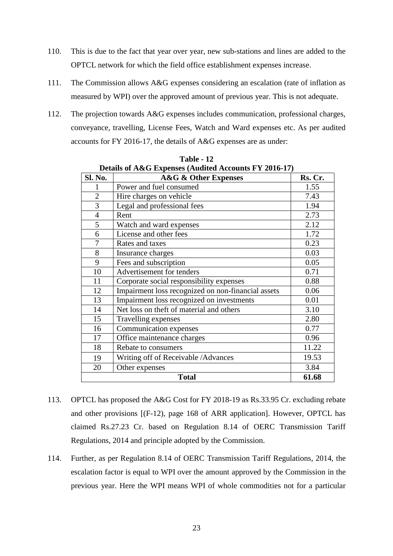- 110. This is due to the fact that year over year, new sub-stations and lines are added to the OPTCL network for which the field office establishment expenses increase.
- 111. The Commission allows A&G expenses considering an escalation (rate of inflation as measured by WPI) over the approved amount of previous year. This is not adequate.
- 112. The projection towards A&G expenses includes communication, professional charges, conveyance, travelling, License Fees, Watch and Ward expenses etc. As per audited accounts for FY 2016-17, the details of A&G expenses are as under:

| Sl. No.               | <b>A&amp;G &amp; Other Expenses</b>                | Rs. Cr. |  |  |  |  |
|-----------------------|----------------------------------------------------|---------|--|--|--|--|
|                       | Power and fuel consumed                            | 1.55    |  |  |  |  |
| $\overline{2}$        | Hire charges on vehicle                            | 7.43    |  |  |  |  |
| 3                     | Legal and professional fees                        | 1.94    |  |  |  |  |
| $\overline{4}$        | Rent                                               | 2.73    |  |  |  |  |
| 5                     | Watch and ward expenses                            | 2.12    |  |  |  |  |
| 6                     | License and other fees                             | 1.72    |  |  |  |  |
| 7                     | Rates and taxes                                    | 0.23    |  |  |  |  |
| 8                     | Insurance charges                                  | 0.03    |  |  |  |  |
| 9                     | Fees and subscription                              | 0.05    |  |  |  |  |
| 10                    | Advertisement for tenders                          | 0.71    |  |  |  |  |
| 11                    | Corporate social responsibility expenses           | 0.88    |  |  |  |  |
| 12                    | Impairment loss recognized on non-financial assets | 0.06    |  |  |  |  |
| 13                    | Impairment loss recognized on investments          | 0.01    |  |  |  |  |
| 14                    | Net loss on theft of material and others           | 3.10    |  |  |  |  |
| 15                    | Travelling expenses                                | 2.80    |  |  |  |  |
| 16                    | Communication expenses                             | 0.77    |  |  |  |  |
| 17                    | Office maintenance charges                         | 0.96    |  |  |  |  |
| 18                    | Rebate to consumers                                | 11.22   |  |  |  |  |
| 19                    | Writing off of Receivable / Advances               | 19.53   |  |  |  |  |
| 20                    | Other expenses                                     | 3.84    |  |  |  |  |
| 61.68<br><b>Total</b> |                                                    |         |  |  |  |  |

**Table - 12 Details of A&G Expenses (Audited Accounts FY 2016-17)** 

- 113. OPTCL has proposed the A&G Cost for FY 2018-19 as Rs.33.95 Cr. excluding rebate and other provisions [(F-12), page 168 of ARR application]. However, OPTCL has claimed Rs.27.23 Cr. based on Regulation 8.14 of OERC Transmission Tariff Regulations, 2014 and principle adopted by the Commission.
- 114. Further, as per Regulation 8.14 of OERC Transmission Tariff Regulations, 2014, the escalation factor is equal to WPI over the amount approved by the Commission in the previous year. Here the WPI means WPI of whole commodities not for a particular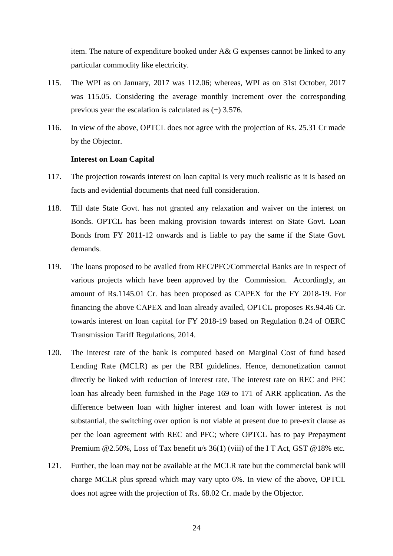item. The nature of expenditure booked under A& G expenses cannot be linked to any particular commodity like electricity.

- 115. The WPI as on January, 2017 was 112.06; whereas, WPI as on 31st October, 2017 was 115.05. Considering the average monthly increment over the corresponding previous year the escalation is calculated as (+) 3.576.
- 116. In view of the above, OPTCL does not agree with the projection of Rs. 25.31 Cr made by the Objector.

#### **Interest on Loan Capital**

- 117. The projection towards interest on loan capital is very much realistic as it is based on facts and evidential documents that need full consideration.
- 118. Till date State Govt. has not granted any relaxation and waiver on the interest on Bonds. OPTCL has been making provision towards interest on State Govt. Loan Bonds from FY 2011-12 onwards and is liable to pay the same if the State Govt. demands.
- 119. The loans proposed to be availed from REC/PFC/Commercial Banks are in respect of various projects which have been approved by the Commission. Accordingly, an amount of Rs.1145.01 Cr. has been proposed as CAPEX for the FY 2018-19. For financing the above CAPEX and loan already availed, OPTCL proposes Rs.94.46 Cr. towards interest on loan capital for FY 2018-19 based on Regulation 8.24 of OERC Transmission Tariff Regulations, 2014.
- 120. The interest rate of the bank is computed based on Marginal Cost of fund based Lending Rate (MCLR) as per the RBI guidelines. Hence, demonetization cannot directly be linked with reduction of interest rate. The interest rate on REC and PFC loan has already been furnished in the Page 169 to 171 of ARR application. As the difference between loan with higher interest and loan with lower interest is not substantial, the switching over option is not viable at present due to pre-exit clause as per the loan agreement with REC and PFC; where OPTCL has to pay Prepayment Premium @2.50%, Loss of Tax benefit u/s 36(1) (viii) of the IT Act, GST @18% etc.
- 121. Further, the loan may not be available at the MCLR rate but the commercial bank will charge MCLR plus spread which may vary upto 6%. In view of the above, OPTCL does not agree with the projection of Rs. 68.02 Cr. made by the Objector.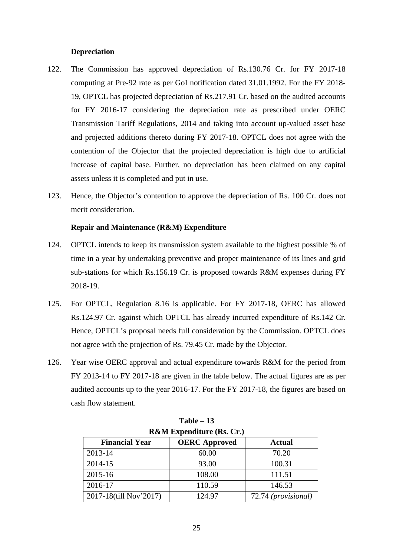### **Depreciation**

- 122. The Commission has approved depreciation of Rs.130.76 Cr. for FY 2017-18 computing at Pre-92 rate as per GoI notification dated 31.01.1992. For the FY 2018- 19, OPTCL has projected depreciation of Rs.217.91 Cr. based on the audited accounts for FY 2016-17 considering the depreciation rate as prescribed under OERC Transmission Tariff Regulations, 2014 and taking into account up-valued asset base and projected additions thereto during FY 2017-18. OPTCL does not agree with the contention of the Objector that the projected depreciation is high due to artificial increase of capital base. Further, no depreciation has been claimed on any capital assets unless it is completed and put in use.
- 123. Hence, the Objector's contention to approve the depreciation of Rs. 100 Cr. does not merit consideration.

#### **Repair and Maintenance (R&M) Expenditure**

- 124. OPTCL intends to keep its transmission system available to the highest possible % of time in a year by undertaking preventive and proper maintenance of its lines and grid sub-stations for which Rs.156.19 Cr. is proposed towards R&M expenses during FY 2018-19.
- 125. For OPTCL, Regulation 8.16 is applicable. For FY 2017-18, OERC has allowed Rs.124.97 Cr. against which OPTCL has already incurred expenditure of Rs.142 Cr. Hence, OPTCL's proposal needs full consideration by the Commission. OPTCL does not agree with the projection of Rs. 79.45 Cr. made by the Objector.
- 126. Year wise OERC approval and actual expenditure towards R&M for the period from FY 2013-14 to FY 2017-18 are given in the table below. The actual figures are as per audited accounts up to the year 2016-17. For the FY 2017-18, the figures are based on cash flow statement.

| $\bf{A}\bf{W}$ iversity experiment ( $\bf{A}\bf{S}$ , $\bf{U}$ ,) |        |                     |  |  |  |  |  |
|-------------------------------------------------------------------|--------|---------------------|--|--|--|--|--|
| <b>OERC</b> Approved<br><b>Financial Year</b><br><b>Actual</b>    |        |                     |  |  |  |  |  |
| 2013-14                                                           | 60.00  | 70.20               |  |  |  |  |  |
| 2014-15                                                           | 93.00  | 100.31              |  |  |  |  |  |
| 2015-16                                                           | 108.00 | 111.51              |  |  |  |  |  |
| 2016-17                                                           | 110.59 | 146.53              |  |  |  |  |  |
| 2017-18(till Nov'2017)                                            | 124.97 | 72.74 (provisional) |  |  |  |  |  |

| $Table - 13$                         |
|--------------------------------------|
| <b>R&amp;M</b> Expenditure (Rs. Cr.) |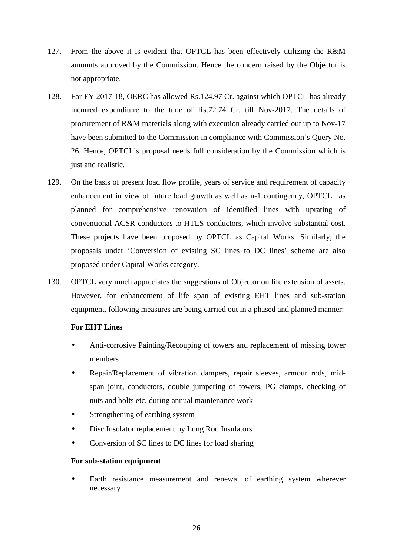- 127. From the above it is evident that OPTCL has been effectively utilizing the R&M amounts approved by the Commission. Hence the concern raised by the Objector is not appropriate.
- 128. For FY 2017-18, OERC has allowed Rs.124.97 Cr. against which OPTCL has already incurred expenditure to the tune of Rs.72.74 Cr. till Nov-2017. The details of procurement of R&M materials along with execution already carried out up to Nov-17 have been submitted to the Commission in compliance with Commission's Query No. 26. Hence, OPTCL's proposal needs full consideration by the Commission which is just and realistic.
- 129. On the basis of present load flow profile, years of service and requirement of capacity enhancement in view of future load growth as well as n-1 contingency, OPTCL has planned for comprehensive renovation of identified lines with uprating of conventional ACSR conductors to HTLS conductors, which involve substantial cost. These projects have been proposed by OPTCL as Capital Works. Similarly, the proposals under 'Conversion of existing SC lines to DC lines' scheme are also proposed under Capital Works category.
- 130. OPTCL very much appreciates the suggestions of Objector on life extension of assets. However, for enhancement of life span of existing EHT lines and sub-station equipment, following measures are being carried out in a phased and planned manner:

# **For EHT Lines**

- Anti-corrosive Painting/Recouping of towers and replacement of missing tower members
- Repair/Replacement of vibration dampers, repair sleeves, armour rods, midspan joint, conductors, double jumpering of towers, PG clamps, checking of nuts and bolts etc. during annual maintenance work
- Strengthening of earthing system
- Disc Insulator replacement by Long Rod Insulators
- Conversion of SC lines to DC lines for load sharing

# **For sub-station equipment**

Earth resistance measurement and renewal of earthing system wherever necessary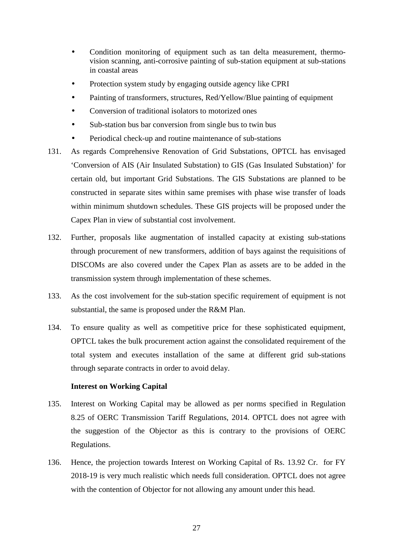- Condition monitoring of equipment such as tan delta measurement, thermovision scanning, anti-corrosive painting of sub-station equipment at sub-stations in coastal areas
- Protection system study by engaging outside agency like CPRI
- Painting of transformers, structures, Red/Yellow/Blue painting of equipment
- Conversion of traditional isolators to motorized ones
- Sub-station bus bar conversion from single bus to twin bus
- Periodical check-up and routine maintenance of sub-stations
- 131. As regards Comprehensive Renovation of Grid Substations, OPTCL has envisaged 'Conversion of AIS (Air Insulated Substation) to GIS (Gas Insulated Substation)' for certain old, but important Grid Substations. The GIS Substations are planned to be constructed in separate sites within same premises with phase wise transfer of loads within minimum shutdown schedules. These GIS projects will be proposed under the Capex Plan in view of substantial cost involvement.
- 132. Further, proposals like augmentation of installed capacity at existing sub-stations through procurement of new transformers, addition of bays against the requisitions of DISCOMs are also covered under the Capex Plan as assets are to be added in the transmission system through implementation of these schemes.
- 133. As the cost involvement for the sub-station specific requirement of equipment is not substantial, the same is proposed under the R&M Plan.
- 134. To ensure quality as well as competitive price for these sophisticated equipment, OPTCL takes the bulk procurement action against the consolidated requirement of the total system and executes installation of the same at different grid sub-stations through separate contracts in order to avoid delay.

# **Interest on Working Capital**

- 135. Interest on Working Capital may be allowed as per norms specified in Regulation 8.25 of OERC Transmission Tariff Regulations, 2014. OPTCL does not agree with the suggestion of the Objector as this is contrary to the provisions of OERC Regulations.
- 136. Hence, the projection towards Interest on Working Capital of Rs. 13.92 Cr. for FY 2018-19 is very much realistic which needs full consideration. OPTCL does not agree with the contention of Objector for not allowing any amount under this head.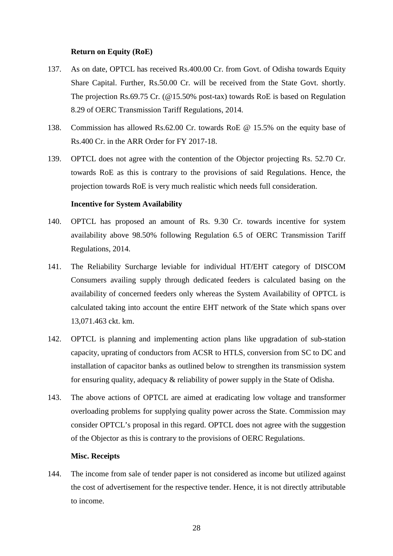#### **Return on Equity (RoE)**

- 137. As on date, OPTCL has received Rs.400.00 Cr. from Govt. of Odisha towards Equity Share Capital. Further, Rs.50.00 Cr. will be received from the State Govt. shortly. The projection Rs.69.75 Cr. (@15.50% post-tax) towards RoE is based on Regulation 8.29 of OERC Transmission Tariff Regulations, 2014.
- 138. Commission has allowed Rs.62.00 Cr. towards RoE @ 15.5% on the equity base of Rs.400 Cr. in the ARR Order for FY 2017-18.
- 139. OPTCL does not agree with the contention of the Objector projecting Rs. 52.70 Cr. towards RoE as this is contrary to the provisions of said Regulations. Hence, the projection towards RoE is very much realistic which needs full consideration.

#### **Incentive for System Availability**

- 140. OPTCL has proposed an amount of Rs. 9.30 Cr. towards incentive for system availability above 98.50% following Regulation 6.5 of OERC Transmission Tariff Regulations, 2014.
- 141. The Reliability Surcharge leviable for individual HT/EHT category of DISCOM Consumers availing supply through dedicated feeders is calculated basing on the availability of concerned feeders only whereas the System Availability of OPTCL is calculated taking into account the entire EHT network of the State which spans over 13,071.463 ckt. km.
- 142. OPTCL is planning and implementing action plans like upgradation of sub-station capacity, uprating of conductors from ACSR to HTLS, conversion from SC to DC and installation of capacitor banks as outlined below to strengthen its transmission system for ensuring quality, adequacy & reliability of power supply in the State of Odisha.
- 143. The above actions of OPTCL are aimed at eradicating low voltage and transformer overloading problems for supplying quality power across the State. Commission may consider OPTCL's proposal in this regard. OPTCL does not agree with the suggestion of the Objector as this is contrary to the provisions of OERC Regulations.

#### **Misc. Receipts**

144. The income from sale of tender paper is not considered as income but utilized against the cost of advertisement for the respective tender. Hence, it is not directly attributable to income.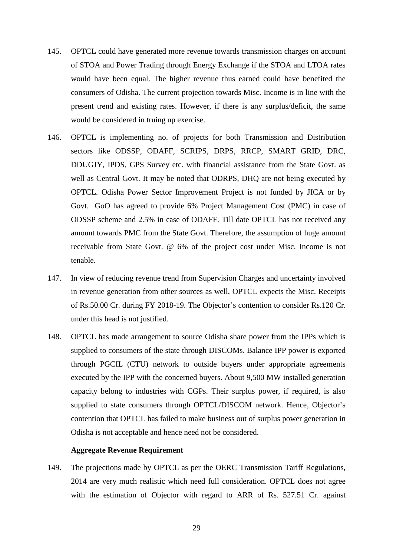- 145. OPTCL could have generated more revenue towards transmission charges on account of STOA and Power Trading through Energy Exchange if the STOA and LTOA rates would have been equal. The higher revenue thus earned could have benefited the consumers of Odisha. The current projection towards Misc. Income is in line with the present trend and existing rates. However, if there is any surplus/deficit, the same would be considered in truing up exercise.
- 146. OPTCL is implementing no. of projects for both Transmission and Distribution sectors like ODSSP, ODAFF, SCRIPS, DRPS, RRCP, SMART GRID, DRC, DDUGJY, IPDS, GPS Survey etc. with financial assistance from the State Govt. as well as Central Govt. It may be noted that ODRPS, DHQ are not being executed by OPTCL. Odisha Power Sector Improvement Project is not funded by JICA or by Govt. GoO has agreed to provide 6% Project Management Cost (PMC) in case of ODSSP scheme and 2.5% in case of ODAFF. Till date OPTCL has not received any amount towards PMC from the State Govt. Therefore, the assumption of huge amount receivable from State Govt. @ 6% of the project cost under Misc. Income is not tenable.
- 147. In view of reducing revenue trend from Supervision Charges and uncertainty involved in revenue generation from other sources as well, OPTCL expects the Misc. Receipts of Rs.50.00 Cr. during FY 2018-19. The Objector's contention to consider Rs.120 Cr. under this head is not justified.
- 148. OPTCL has made arrangement to source Odisha share power from the IPPs which is supplied to consumers of the state through DISCOMs. Balance IPP power is exported through PGCIL (CTU) network to outside buyers under appropriate agreements executed by the IPP with the concerned buyers. About 9,500 MW installed generation capacity belong to industries with CGPs. Their surplus power, if required, is also supplied to state consumers through OPTCL/DISCOM network. Hence, Objector's contention that OPTCL has failed to make business out of surplus power generation in Odisha is not acceptable and hence need not be considered.

#### **Aggregate Revenue Requirement**

149. The projections made by OPTCL as per the OERC Transmission Tariff Regulations, 2014 are very much realistic which need full consideration. OPTCL does not agree with the estimation of Objector with regard to ARR of Rs. 527.51 Cr. against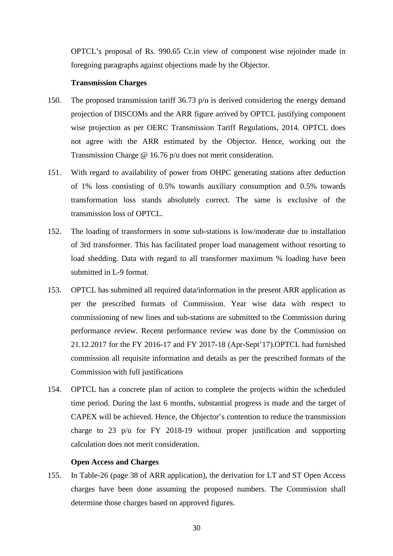OPTCL's proposal of Rs. 990.65 Cr.in view of component wise rejoinder made in foregoing paragraphs against objections made by the Objector.

#### **Transmission Charges**

- 150. The proposed transmission tariff 36.73 p/u is derived considering the energy demand projection of DISCOMs and the ARR figure arrived by OPTCL justifying component wise projection as per OERC Transmission Tariff Regulations, 2014. OPTCL does not agree with the ARR estimated by the Objector. Hence, working out the Transmission Charge @ 16.76 p/u does not merit consideration.
- 151. With regard to availability of power from OHPC generating stations after deduction of 1% loss consisting of 0.5% towards auxiliary consumption and 0.5% towards transformation loss stands absolutely correct. The same is exclusive of the transmission loss of OPTCL.
- 152. The loading of transformers in some sub-stations is low/moderate due to installation of 3rd transformer. This has facilitated proper load management without resorting to load shedding. Data with regard to all transformer maximum % loading have been submitted in L-9 format.
- 153. OPTCL has submitted all required data/information in the present ARR application as per the prescribed formats of Commission. Year wise data with respect to commissioning of new lines and sub-stations are submitted to the Commission during performance review. Recent performance review was done by the Commission on 21.12.2017 for the FY 2016-17 and FY 2017-18 (Apr-Sept'17).OPTCL had furnished commission all requisite information and details as per the prescribed formats of the Commission with full justifications
- 154. OPTCL has a concrete plan of action to complete the projects within the scheduled time period. During the last 6 months, substantial progress is made and the target of CAPEX will be achieved. Hence, the Objector's contention to reduce the transmission charge to 23 p/u for FY 2018-19 without proper justification and supporting calculation does not merit consideration.

#### **Open Access and Charges**

155. In Table-26 (page 38 of ARR application), the derivation for LT and ST Open Access charges have been done assuming the proposed numbers. The Commission shall determine those charges based on approved figures.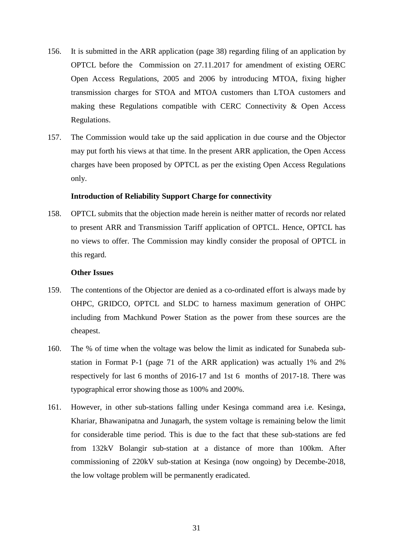- 156. It is submitted in the ARR application (page 38) regarding filing of an application by OPTCL before the Commission on 27.11.2017 for amendment of existing OERC Open Access Regulations, 2005 and 2006 by introducing MTOA, fixing higher transmission charges for STOA and MTOA customers than LTOA customers and making these Regulations compatible with CERC Connectivity & Open Access Regulations.
- 157. The Commission would take up the said application in due course and the Objector may put forth his views at that time. In the present ARR application, the Open Access charges have been proposed by OPTCL as per the existing Open Access Regulations only.

#### **Introduction of Reliability Support Charge for connectivity**

158. OPTCL submits that the objection made herein is neither matter of records nor related to present ARR and Transmission Tariff application of OPTCL. Hence, OPTCL has no views to offer. The Commission may kindly consider the proposal of OPTCL in this regard.

#### **Other Issues**

- 159. The contentions of the Objector are denied as a co-ordinated effort is always made by OHPC, GRIDCO, OPTCL and SLDC to harness maximum generation of OHPC including from Machkund Power Station as the power from these sources are the cheapest.
- 160. The % of time when the voltage was below the limit as indicated for Sunabeda substation in Format P-1 (page 71 of the ARR application) was actually 1% and 2% respectively for last 6 months of 2016-17 and 1st 6 months of 2017-18. There was typographical error showing those as 100% and 200%.
- 161. However, in other sub-stations falling under Kesinga command area i.e. Kesinga, Khariar, Bhawanipatna and Junagarh, the system voltage is remaining below the limit for considerable time period. This is due to the fact that these sub-stations are fed from 132kV Bolangir sub-station at a distance of more than 100km. After commissioning of 220kV sub-station at Kesinga (now ongoing) by Decembe-2018, the low voltage problem will be permanently eradicated.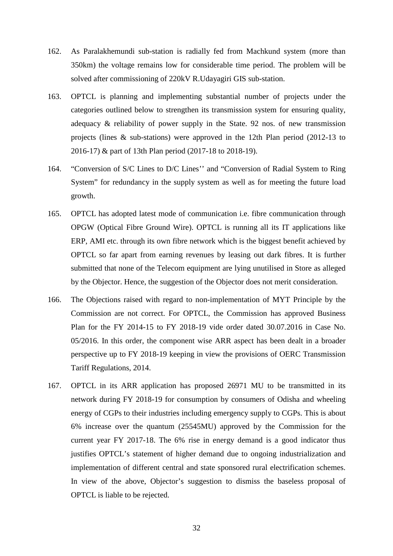- 162. As Paralakhemundi sub-station is radially fed from Machkund system (more than 350km) the voltage remains low for considerable time period. The problem will be solved after commissioning of 220kV R.Udayagiri GIS sub-station.
- 163. OPTCL is planning and implementing substantial number of projects under the categories outlined below to strengthen its transmission system for ensuring quality, adequacy & reliability of power supply in the State. 92 nos. of new transmission projects (lines & sub-stations) were approved in the 12th Plan period (2012-13 to 2016-17) & part of 13th Plan period (2017-18 to 2018-19).
- 164. "Conversion of S/C Lines to D/C Lines'' and "Conversion of Radial System to Ring System" for redundancy in the supply system as well as for meeting the future load growth.
- 165. OPTCL has adopted latest mode of communication i.e. fibre communication through OPGW (Optical Fibre Ground Wire). OPTCL is running all its IT applications like ERP, AMI etc. through its own fibre network which is the biggest benefit achieved by OPTCL so far apart from earning revenues by leasing out dark fibres. It is further submitted that none of the Telecom equipment are lying unutilised in Store as alleged by the Objector. Hence, the suggestion of the Objector does not merit consideration.
- 166. The Objections raised with regard to non-implementation of MYT Principle by the Commission are not correct. For OPTCL, the Commission has approved Business Plan for the FY 2014-15 to FY 2018-19 vide order dated 30.07.2016 in Case No. 05/2016. In this order, the component wise ARR aspect has been dealt in a broader perspective up to FY 2018-19 keeping in view the provisions of OERC Transmission Tariff Regulations, 2014.
- 167. OPTCL in its ARR application has proposed 26971 MU to be transmitted in its network during FY 2018-19 for consumption by consumers of Odisha and wheeling energy of CGPs to their industries including emergency supply to CGPs. This is about 6% increase over the quantum (25545MU) approved by the Commission for the current year FY 2017-18. The 6% rise in energy demand is a good indicator thus justifies OPTCL's statement of higher demand due to ongoing industrialization and implementation of different central and state sponsored rural electrification schemes. In view of the above, Objector's suggestion to dismiss the baseless proposal of OPTCL is liable to be rejected.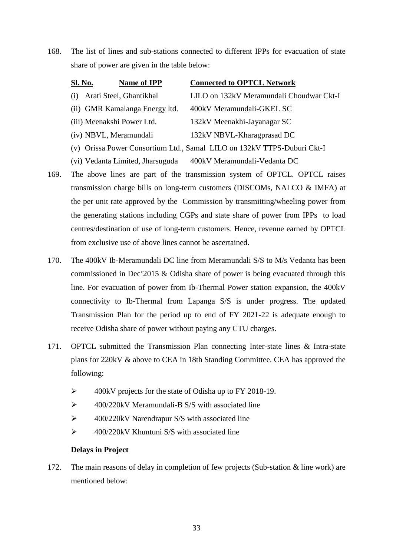168. The list of lines and sub-stations connected to different IPPs for evacuation of state share of power are given in the table below:

|     | <b>Name of IPP</b><br><u>Sl. No.</u> | <b>Connected to OPTCL Network</b>                                       |
|-----|--------------------------------------|-------------------------------------------------------------------------|
| (i) | Arati Steel, Ghantikhal              | LILO on 132kV Meramundali Choudwar Ckt-I                                |
|     | (ii) GMR Kamalanga Energy ltd.       | 400kV Meramundali-GKEL SC                                               |
|     | (iii) Meenakshi Power Ltd.           | 132kV Meenakhi-Jayanagar SC                                             |
|     | (iv) NBVL, Meramundali               | 132kV NBVL-Kharagprasad DC                                              |
|     |                                      | (v) Orissa Power Consortium Ltd., Samal LILO on 132kV TTPS-Duburi Ckt-I |
|     | (vi) Vedanta Limited, Jharsuguda     | 400kV Meramundali-Vedanta DC                                            |

- 169. The above lines are part of the transmission system of OPTCL. OPTCL raises transmission charge bills on long-term customers (DISCOMs, NALCO & IMFA) at the per unit rate approved by the Commission by transmitting/wheeling power from the generating stations including CGPs and state share of power from IPPs to load centres/destination of use of long-term customers. Hence, revenue earned by OPTCL from exclusive use of above lines cannot be ascertained.
- 170. The 400kV Ib-Meramundali DC line from Meramundali S/S to M/s Vedanta has been commissioned in Dec'2015 & Odisha share of power is being evacuated through this line. For evacuation of power from Ib-Thermal Power station expansion, the 400kV connectivity to Ib-Thermal from Lapanga S/S is under progress. The updated Transmission Plan for the period up to end of FY 2021-22 is adequate enough to receive Odisha share of power without paying any CTU charges.
- 171. OPTCL submitted the Transmission Plan connecting Inter-state lines & Intra-state plans for 220kV & above to CEA in 18th Standing Committee. CEA has approved the following:
	- $\geq$  400kV projects for the state of Odisha up to FY 2018-19.
	- $\geq$  400/220kV Meramundali-B S/S with associated line
	- $\triangleright$  400/220kV Narendrapur S/S with associated line
	- $\geq$  400/220kV Khuntuni S/S with associated line

# **Delays in Project**

172. The main reasons of delay in completion of few projects (Sub-station & line work) are mentioned below: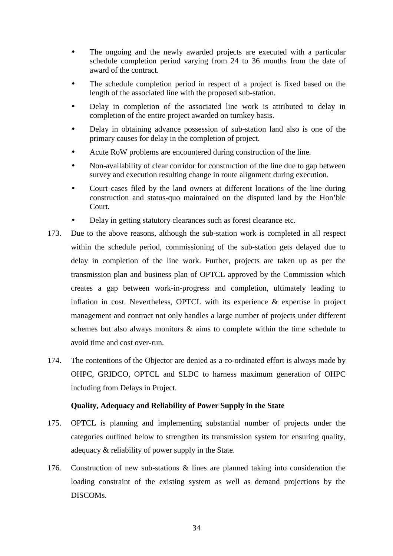- The ongoing and the newly awarded projects are executed with a particular schedule completion period varying from 24 to 36 months from the date of award of the contract.
- The schedule completion period in respect of a project is fixed based on the length of the associated line with the proposed sub-station.
- Delay in completion of the associated line work is attributed to delay in completion of the entire project awarded on turnkey basis.
- Delay in obtaining advance possession of sub-station land also is one of the primary causes for delay in the completion of project.
- Acute RoW problems are encountered during construction of the line.
- Non-availability of clear corridor for construction of the line due to gap between survey and execution resulting change in route alignment during execution.
- Court cases filed by the land owners at different locations of the line during construction and status-quo maintained on the disputed land by the Hon'ble Court.
- Delay in getting statutory clearances such as forest clearance etc.
- 173. Due to the above reasons, although the sub-station work is completed in all respect within the schedule period, commissioning of the sub-station gets delayed due to delay in completion of the line work. Further, projects are taken up as per the transmission plan and business plan of OPTCL approved by the Commission which creates a gap between work-in-progress and completion, ultimately leading to inflation in cost. Nevertheless, OPTCL with its experience & expertise in project management and contract not only handles a large number of projects under different schemes but also always monitors & aims to complete within the time schedule to avoid time and cost over-run.
- 174. The contentions of the Objector are denied as a co-ordinated effort is always made by OHPC, GRIDCO, OPTCL and SLDC to harness maximum generation of OHPC including from Delays in Project.

# **Quality, Adequacy and Reliability of Power Supply in the State**

- 175. OPTCL is planning and implementing substantial number of projects under the categories outlined below to strengthen its transmission system for ensuring quality, adequacy & reliability of power supply in the State.
- 176. Construction of new sub-stations & lines are planned taking into consideration the loading constraint of the existing system as well as demand projections by the DISCOMs.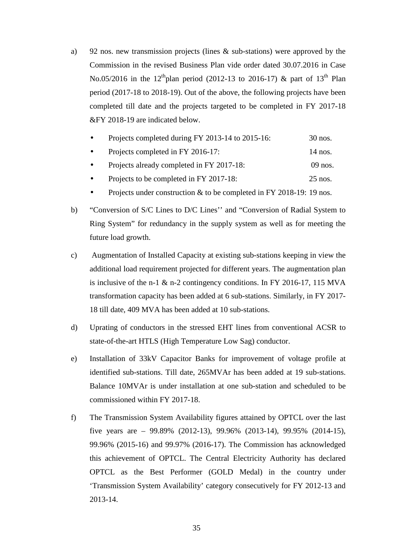- a) 92 nos. new transmission projects (lines & sub-stations) were approved by the Commission in the revised Business Plan vide order dated 30.07.2016 in Case No.05/2016 in the 12<sup>th</sup>plan period (2012-13 to 2016-17) & part of 13<sup>th</sup> Plan period (2017-18 to 2018-19). Out of the above, the following projects have been completed till date and the projects targeted to be completed in FY 2017-18 &FY 2018-19 are indicated below.
	- Projects completed during FY 2013-14 to 2015-16: 30 nos.
	- Projects completed in FY 2016-17: 14 nos.
	- Projects already completed in FY 2017-18: 09 nos.
	- Projects to be completed in FY 2017-18: 25 nos.
	- Projects under construction & to be completed in FY 2018-19: 19 nos.
- b) "Conversion of S/C Lines to D/C Lines'' and "Conversion of Radial System to Ring System" for redundancy in the supply system as well as for meeting the future load growth.
- c) Augmentation of Installed Capacity at existing sub-stations keeping in view the additional load requirement projected for different years. The augmentation plan is inclusive of the n-1 & n-2 contingency conditions. In FY 2016-17, 115 MVA transformation capacity has been added at 6 sub-stations. Similarly, in FY 2017- 18 till date, 409 MVA has been added at 10 sub-stations.
- d) Uprating of conductors in the stressed EHT lines from conventional ACSR to state-of-the-art HTLS (High Temperature Low Sag) conductor.
- e) Installation of 33kV Capacitor Banks for improvement of voltage profile at identified sub-stations. Till date, 265MVAr has been added at 19 sub-stations. Balance 10MVAr is under installation at one sub-station and scheduled to be commissioned within FY 2017-18.
- f) The Transmission System Availability figures attained by OPTCL over the last five years are – 99.89% (2012-13), 99.96% (2013-14), 99.95% (2014-15), 99.96% (2015-16) and 99.97% (2016-17). The Commission has acknowledged this achievement of OPTCL. The Central Electricity Authority has declared OPTCL as the Best Performer (GOLD Medal) in the country under 'Transmission System Availability' category consecutively for FY 2012-13 and 2013-14.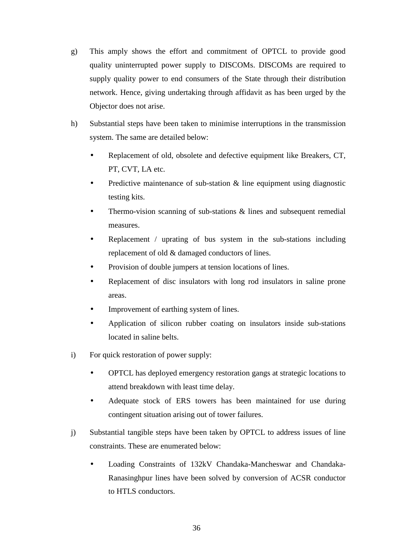- g) This amply shows the effort and commitment of OPTCL to provide good quality uninterrupted power supply to DISCOMs. DISCOMs are required to supply quality power to end consumers of the State through their distribution network. Hence, giving undertaking through affidavit as has been urged by the Objector does not arise.
- h) Substantial steps have been taken to minimise interruptions in the transmission system. The same are detailed below:
	- Replacement of old, obsolete and defective equipment like Breakers, CT, PT, CVT, LA etc.
	- Predictive maintenance of sub-station & line equipment using diagnostic testing kits.
	- Thermo-vision scanning of sub-stations & lines and subsequent remedial measures.
	- Replacement / uprating of bus system in the sub-stations including replacement of old & damaged conductors of lines.
	- Provision of double jumpers at tension locations of lines.
	- Replacement of disc insulators with long rod insulators in saline prone areas.
	- Improvement of earthing system of lines.
	- Application of silicon rubber coating on insulators inside sub-stations located in saline belts.
- i) For quick restoration of power supply:
	- OPTCL has deployed emergency restoration gangs at strategic locations to attend breakdown with least time delay.
	- Adequate stock of ERS towers has been maintained for use during contingent situation arising out of tower failures.
- j) Substantial tangible steps have been taken by OPTCL to address issues of line constraints. These are enumerated below:
	- Loading Constraints of 132kV Chandaka-Mancheswar and Chandaka-Ranasinghpur lines have been solved by conversion of ACSR conductor to HTLS conductors.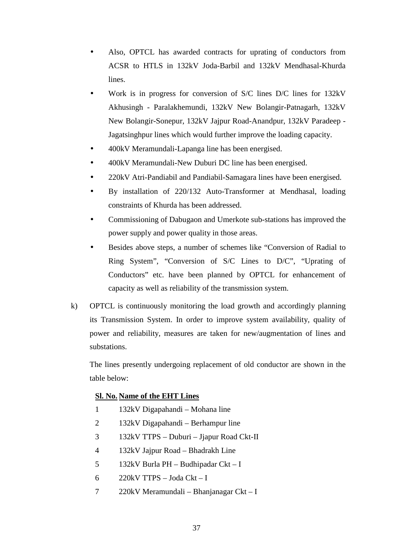- Also, OPTCL has awarded contracts for uprating of conductors from ACSR to HTLS in 132kV Joda-Barbil and 132kV Mendhasal-Khurda lines.
- Work is in progress for conversion of S/C lines D/C lines for 132kV Akhusingh - Paralakhemundi, 132kV New Bolangir-Patnagarh, 132kV New Bolangir-Sonepur, 132kV Jajpur Road-Anandpur, 132kV Paradeep - Jagatsinghpur lines which would further improve the loading capacity.
- 400kV Meramundali-Lapanga line has been energised.
- 400kV Meramundali-New Duburi DC line has been energised.
- 220kV Atri-Pandiabil and Pandiabil-Samagara lines have been energised.
- By installation of 220/132 Auto-Transformer at Mendhasal, loading constraints of Khurda has been addressed.
- Commissioning of Dabugaon and Umerkote sub-stations has improved the power supply and power quality in those areas.
- Besides above steps, a number of schemes like "Conversion of Radial to Ring System", "Conversion of S/C Lines to D/C", "Uprating of Conductors" etc. have been planned by OPTCL for enhancement of capacity as well as reliability of the transmission system.
- k) OPTCL is continuously monitoring the load growth and accordingly planning its Transmission System. In order to improve system availability, quality of power and reliability, measures are taken for new/augmentation of lines and substations.

The lines presently undergoing replacement of old conductor are shown in the table below:

# **Sl. No. Name of the EHT Lines**

- 1 132kV Digapahandi Mohana line
- 2 132kV Digapahandi Berhampur line
- 3 132kV TTPS Duburi Jjapur Road Ckt-II
- 4 132kV Jajpur Road Bhadrakh Line
- 5 132kV Burla PH Budhipadar Ckt I
- 6 220kV TTPS Joda Ckt I
- 7 220kV Meramundali Bhanjanagar Ckt I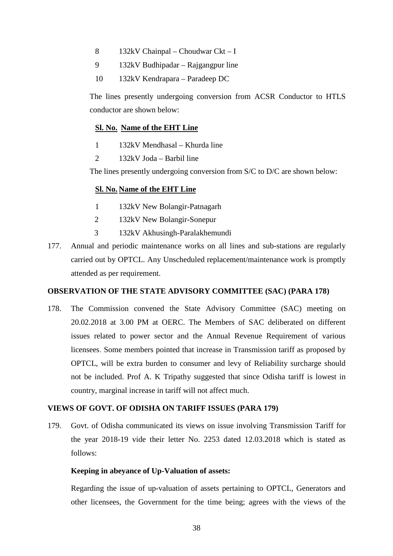- 8 132kV Chainpal Choudwar Ckt I
- 9 132kV Budhipadar Rajgangpur line
- 10 132kV Kendrapara Paradeep DC

The lines presently undergoing conversion from ACSR Conductor to HTLS conductor are shown below:

# **Sl. No. Name of the EHT Line**

- 1 132kV Mendhasal Khurda line
- 2 132kV Joda Barbil line

The lines presently undergoing conversion from S/C to D/C are shown below:

# **Sl. No. Name of the EHT Line**

- 1 132kV New Bolangir-Patnagarh
- 2 132kV New Bolangir-Sonepur
- 3 132kV Akhusingh-Paralakhemundi
- 177. Annual and periodic maintenance works on all lines and sub-stations are regularly carried out by OPTCL. Any Unscheduled replacement/maintenance work is promptly attended as per requirement.

# **OBSERVATION OF THE STATE ADVISORY COMMITTEE (SAC) (PARA 178)**

178. The Commission convened the State Advisory Committee (SAC) meeting on 20.02.2018 at 3.00 PM at OERC. The Members of SAC deliberated on different issues related to power sector and the Annual Revenue Requirement of various licensees. Some members pointed that increase in Transmission tariff as proposed by OPTCL, will be extra burden to consumer and levy of Reliability surcharge should not be included. Prof A. K Tripathy suggested that since Odisha tariff is lowest in country, marginal increase in tariff will not affect much.

# **VIEWS OF GOVT. OF ODISHA ON TARIFF ISSUES (PARA 179)**

179. Govt. of Odisha communicated its views on issue involving Transmission Tariff for the year 2018-19 vide their letter No. 2253 dated 12.03.2018 which is stated as follows:

# **Keeping in abeyance of Up-Valuation of assets:**

Regarding the issue of up-valuation of assets pertaining to OPTCL, Generators and other licensees, the Government for the time being; agrees with the views of the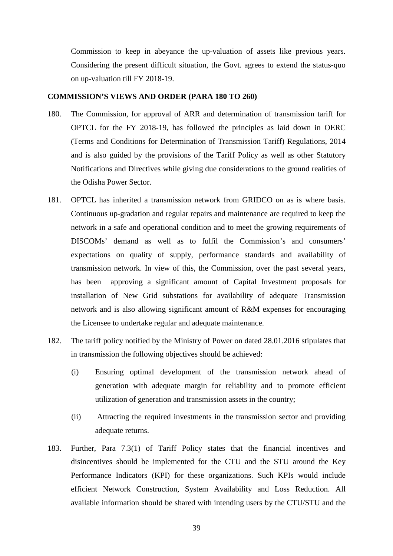Commission to keep in abeyance the up-valuation of assets like previous years. Considering the present difficult situation, the Govt. agrees to extend the status-quo on up-valuation till FY 2018-19.

#### **COMMISSION'S VIEWS AND ORDER (PARA 180 TO 260)**

- 180. The Commission, for approval of ARR and determination of transmission tariff for OPTCL for the FY 2018-19, has followed the principles as laid down in OERC (Terms and Conditions for Determination of Transmission Tariff) Regulations, 2014 and is also guided by the provisions of the Tariff Policy as well as other Statutory Notifications and Directives while giving due considerations to the ground realities of the Odisha Power Sector.
- 181. OPTCL has inherited a transmission network from GRIDCO on as is where basis. Continuous up-gradation and regular repairs and maintenance are required to keep the network in a safe and operational condition and to meet the growing requirements of DISCOMs' demand as well as to fulfil the Commission's and consumers' expectations on quality of supply, performance standards and availability of transmission network. In view of this, the Commission, over the past several years, has been approving a significant amount of Capital Investment proposals for installation of New Grid substations for availability of adequate Transmission network and is also allowing significant amount of R&M expenses for encouraging the Licensee to undertake regular and adequate maintenance.
- 182. The tariff policy notified by the Ministry of Power on dated 28.01.2016 stipulates that in transmission the following objectives should be achieved:
	- (i) Ensuring optimal development of the transmission network ahead of generation with adequate margin for reliability and to promote efficient utilization of generation and transmission assets in the country;
	- (ii) Attracting the required investments in the transmission sector and providing adequate returns.
- 183. Further, Para 7.3(1) of Tariff Policy states that the financial incentives and disincentives should be implemented for the CTU and the STU around the Key Performance Indicators (KPI) for these organizations. Such KPIs would include efficient Network Construction, System Availability and Loss Reduction. All available information should be shared with intending users by the CTU/STU and the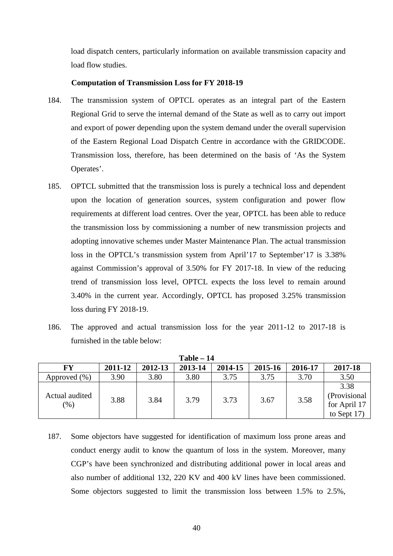load dispatch centers, particularly information on available transmission capacity and load flow studies.

#### **Computation of Transmission Loss for FY 2018-19**

- 184. The transmission system of OPTCL operates as an integral part of the Eastern Regional Grid to serve the internal demand of the State as well as to carry out import and export of power depending upon the system demand under the overall supervision of the Eastern Regional Load Dispatch Centre in accordance with the GRIDCODE. Transmission loss, therefore, has been determined on the basis of 'As the System Operates'.
- 185. OPTCL submitted that the transmission loss is purely a technical loss and dependent upon the location of generation sources, system configuration and power flow requirements at different load centres. Over the year, OPTCL has been able to reduce the transmission loss by commissioning a number of new transmission projects and adopting innovative schemes under Master Maintenance Plan. The actual transmission loss in the OPTCL's transmission system from April'17 to September'17 is 3.38% against Commission's approval of 3.50% for FY 2017-18. In view of the reducing trend of transmission loss level, OPTCL expects the loss level to remain around 3.40% in the current year. Accordingly, OPTCL has proposed 3.25% transmission loss during FY 2018-19.
- 186. The approved and actual transmission loss for the year 2011-12 to 2017-18 is furnished in the table below:

| $Table - 14$          |         |         |         |         |         |         |                                                        |
|-----------------------|---------|---------|---------|---------|---------|---------|--------------------------------------------------------|
| FY                    | 2011-12 | 2012-13 | 2013-14 | 2014-15 | 2015-16 | 2016-17 | 2017-18                                                |
| Approved (%)          | 3.90    | 3.80    | 3.80    | 3.75    | 3.75    | 3.70    | 3.50                                                   |
| Actual audited<br>(%) | 3.88    | 3.84    | 3.79    | 3.73    | 3.67    | 3.58    | 3.38<br>(Provisional<br>for April 17<br>to Sept $17$ ) |

187. Some objectors have suggested for identification of maximum loss prone areas and conduct energy audit to know the quantum of loss in the system. Moreover, many CGP's have been synchronized and distributing additional power in local areas and also number of additional 132, 220 KV and 400 kV lines have been commissioned. Some objectors suggested to limit the transmission loss between 1.5% to 2.5%,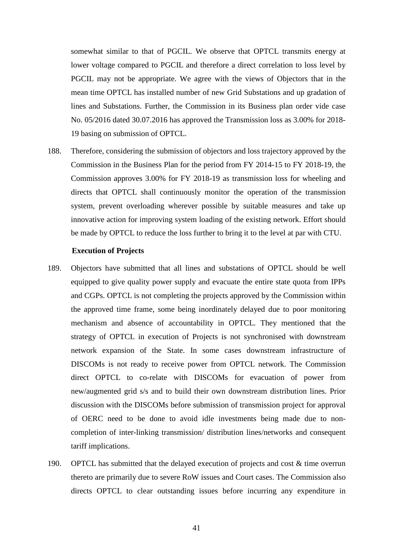somewhat similar to that of PGCIL. We observe that OPTCL transmits energy at lower voltage compared to PGCIL and therefore a direct correlation to loss level by PGCIL may not be appropriate. We agree with the views of Objectors that in the mean time OPTCL has installed number of new Grid Substations and up gradation of lines and Substations. Further, the Commission in its Business plan order vide case No. 05/2016 dated 30.07.2016 has approved the Transmission loss as 3.00% for 2018- 19 basing on submission of OPTCL.

188. Therefore, considering the submission of objectors and loss trajectory approved by the Commission in the Business Plan for the period from FY 2014-15 to FY 2018-19, the Commission approves 3.00% for FY 2018-19 as transmission loss for wheeling and directs that OPTCL shall continuously monitor the operation of the transmission system, prevent overloading wherever possible by suitable measures and take up innovative action for improving system loading of the existing network. Effort should be made by OPTCL to reduce the loss further to bring it to the level at par with CTU.

#### **Execution of Projects**

- 189. Objectors have submitted that all lines and substations of OPTCL should be well equipped to give quality power supply and evacuate the entire state quota from IPPs and CGPs. OPTCL is not completing the projects approved by the Commission within the approved time frame, some being inordinately delayed due to poor monitoring mechanism and absence of accountability in OPTCL. They mentioned that the strategy of OPTCL in execution of Projects is not synchronised with downstream network expansion of the State. In some cases downstream infrastructure of DISCOMs is not ready to receive power from OPTCL network. The Commission direct OPTCL to co-relate with DISCOMs for evacuation of power from new/augmented grid s/s and to build their own downstream distribution lines. Prior discussion with the DISCOMs before submission of transmission project for approval of OERC need to be done to avoid idle investments being made due to noncompletion of inter-linking transmission/ distribution lines/networks and consequent tariff implications.
- 190. OPTCL has submitted that the delayed execution of projects and cost & time overrun thereto are primarily due to severe RoW issues and Court cases. The Commission also directs OPTCL to clear outstanding issues before incurring any expenditure in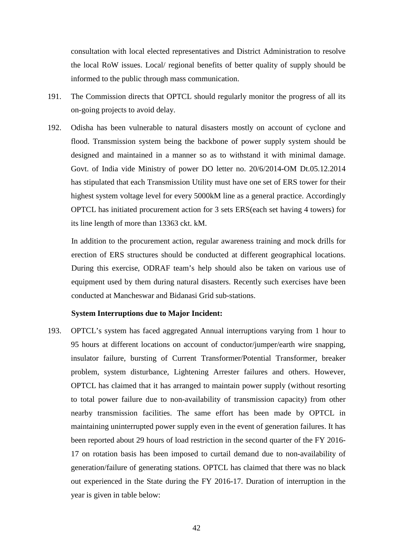consultation with local elected representatives and District Administration to resolve the local RoW issues. Local/ regional benefits of better quality of supply should be informed to the public through mass communication.

- 191. The Commission directs that OPTCL should regularly monitor the progress of all its on-going projects to avoid delay.
- 192. Odisha has been vulnerable to natural disasters mostly on account of cyclone and flood. Transmission system being the backbone of power supply system should be designed and maintained in a manner so as to withstand it with minimal damage. Govt. of India vide Ministry of power DO letter no. 20/6/2014-OM Dt.05.12.2014 has stipulated that each Transmission Utility must have one set of ERS tower for their highest system voltage level for every 5000kM line as a general practice. Accordingly OPTCL has initiated procurement action for 3 sets ERS(each set having 4 towers) for its line length of more than 13363 ckt. kM.

In addition to the procurement action, regular awareness training and mock drills for erection of ERS structures should be conducted at different geographical locations. During this exercise, ODRAF team's help should also be taken on various use of equipment used by them during natural disasters. Recently such exercises have been conducted at Mancheswar and Bidanasi Grid sub-stations.

#### **System Interruptions due to Major Incident:**

193. OPTCL's system has faced aggregated Annual interruptions varying from 1 hour to 95 hours at different locations on account of conductor/jumper/earth wire snapping, insulator failure, bursting of Current Transformer/Potential Transformer, breaker problem, system disturbance, Lightening Arrester failures and others. However, OPTCL has claimed that it has arranged to maintain power supply (without resorting to total power failure due to non-availability of transmission capacity) from other nearby transmission facilities. The same effort has been made by OPTCL in maintaining uninterrupted power supply even in the event of generation failures. It has been reported about 29 hours of load restriction in the second quarter of the FY 2016- 17 on rotation basis has been imposed to curtail demand due to non-availability of generation/failure of generating stations. OPTCL has claimed that there was no black out experienced in the State during the FY 2016-17. Duration of interruption in the year is given in table below: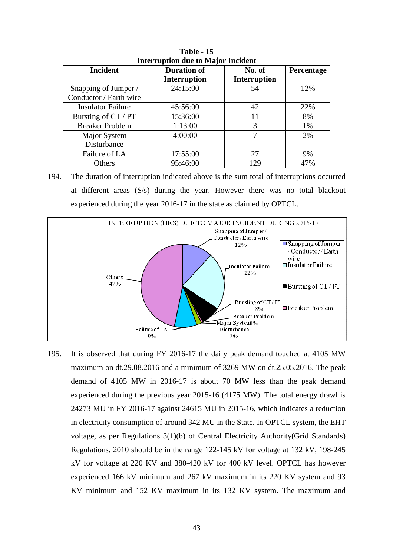| mundupuon uut to major menuem |                                           |                               |            |  |  |  |  |
|-------------------------------|-------------------------------------------|-------------------------------|------------|--|--|--|--|
| <b>Incident</b>               | <b>Duration of</b><br><b>Interruption</b> | No. of<br><b>Interruption</b> | Percentage |  |  |  |  |
| Snapping of Jumper /          | 24:15:00                                  | 54                            | 12%        |  |  |  |  |
| Conductor / Earth wire        |                                           |                               |            |  |  |  |  |
| <b>Insulator Failure</b>      | 45:56:00                                  | 42                            | 22%        |  |  |  |  |
| Bursting of CT / PT           | 15:36:00                                  | 11                            | 8%         |  |  |  |  |
| <b>Breaker Problem</b>        | 1:13:00                                   | 3                             | 1%         |  |  |  |  |
| Major System                  | 4:00:00                                   | 7                             | 2%         |  |  |  |  |
| Disturbance                   |                                           |                               |            |  |  |  |  |
| Failure of LA                 | 17:55:00                                  | 27                            | 9%         |  |  |  |  |
| Others                        | 95:46:00                                  | 129                           | 47%        |  |  |  |  |

**Table - 15 Interruption due to Major Incident**

194. The duration of interruption indicated above is the sum total of interruptions occurred at different areas (S/s) during the year. However there was no total blackout experienced during the year 2016-17 in the state as claimed by OPTCL.



195. It is observed that during FY 2016-17 the daily peak demand touched at 4105 MW maximum on dt.29.08.2016 and a minimum of 3269 MW on dt.25.05.2016. The peak demand of 4105 MW in 2016-17 is about 70 MW less than the peak demand experienced during the previous year 2015-16 (4175 MW). The total energy drawl is 24273 MU in FY 2016-17 against 24615 MU in 2015-16, which indicates a reduction in electricity consumption of around 342 MU in the State. In OPTCL system, the EHT voltage, as per Regulations 3(1)(b) of Central Electricity Authority(Grid Standards) Regulations, 2010 should be in the range 122-145 kV for voltage at 132 kV, 198-245 kV for voltage at 220 KV and 380-420 kV for 400 kV level. OPTCL has however experienced 166 kV minimum and 267 kV maximum in its 220 KV system and 93 KV minimum and 152 KV maximum in its 132 KV system. The maximum and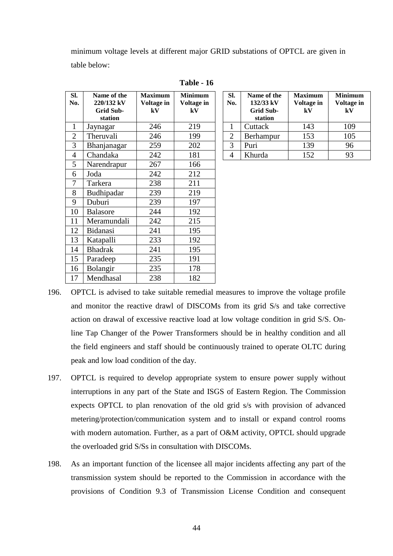minimum voltage levels at different major GRID substations of OPTCL are given in table below:

| SI.            | Name of the                    | <b>Maximum</b>              | <b>Minimum</b>   | Sl.            | Name of the                   | <b>Maximum</b>   | Minimu               |
|----------------|--------------------------------|-----------------------------|------------------|----------------|-------------------------------|------------------|----------------------|
| No.            | 220/132 kV<br><b>Grid Sub-</b> | Voltage in<br>$\mathbf{kV}$ | Voltage in<br>kV | No.            | 132/33 kV<br><b>Grid Sub-</b> | Voltage in<br>kV | <b>Voltage</b><br>kV |
|                | station                        |                             |                  |                | station                       |                  |                      |
| $\mathbf{1}$   | Jaynagar                       | 246                         | 219              | $\mathbf{1}$   | Cuttack                       | 143              | 109                  |
| $\overline{2}$ | Theruvali                      | 246                         | 199              | $\overline{2}$ | Berhampur                     | 153              | 105                  |
| 3              | Bhanjanagar                    | 259                         | 202              | 3              | Puri                          | 139              | 96                   |
| $\overline{4}$ | Chandaka                       | 242                         | 181              | $\overline{4}$ | Khurda                        | 152              | 93                   |
| 5              | Narendrapur                    | 267                         | 166              |                |                               |                  |                      |
| 6              | Joda                           | 242                         | 212              |                |                               |                  |                      |
| $\overline{7}$ | Tarkera                        | 238                         | 211              |                |                               |                  |                      |
| 8              | Budhipadar                     | 239                         | 219              |                |                               |                  |                      |
| 9              | Duburi                         | 239                         | 197              |                |                               |                  |                      |
| 10             | <b>Balasore</b>                | 244                         | 192              |                |                               |                  |                      |
| 11             | Meramundali                    | 242                         | 215              |                |                               |                  |                      |
| 12             | Bidanasi                       | 241                         | 195              |                |                               |                  |                      |
| 13             | Katapalli                      | 233                         | 192              |                |                               |                  |                      |
| 14             | <b>Bhadrak</b>                 | 241                         | 195              |                |                               |                  |                      |
| 15             | Paradeep                       | 235                         | 191              |                |                               |                  |                      |
| 16             | <b>Bolangir</b>                | 235                         | 178              |                |                               |                  |                      |
| 17             | Mendhasal                      | 238                         | 182              |                |                               |                  |                      |

| Table | $-16$ |
|-------|-------|
|-------|-------|

| SI.<br>No.    | Name of the<br>132/33 kV<br><b>Grid Sub-</b><br>station | <b>Maximum</b><br>Voltage in<br>kV | <b>Minimum</b><br>Voltage in<br>${\bf kV}$ |
|---------------|---------------------------------------------------------|------------------------------------|--------------------------------------------|
|               | Cuttack                                                 | 143                                | 109                                        |
| 2             | Berhampur                                               | 153                                | 105                                        |
| $\mathcal{F}$ | Puri                                                    | 139                                | 96                                         |
|               | Khurda                                                  | 152                                | 93                                         |

- 196. OPTCL is advised to take suitable remedial measures to improve the voltage profile and monitor the reactive drawl of DISCOMs from its grid S/s and take corrective action on drawal of excessive reactive load at low voltage condition in grid S/S. Online Tap Changer of the Power Transformers should be in healthy condition and all the field engineers and staff should be continuously trained to operate OLTC during peak and low load condition of the day.
- 197. OPTCL is required to develop appropriate system to ensure power supply without interruptions in any part of the State and ISGS of Eastern Region. The Commission expects OPTCL to plan renovation of the old grid s/s with provision of advanced metering/protection/communication system and to install or expand control rooms with modern automation. Further, as a part of O&M activity, OPTCL should upgrade the overloaded grid S/Ss in consultation with DISCOMs.
- 198. As an important function of the licensee all major incidents affecting any part of the transmission system should be reported to the Commission in accordance with the provisions of Condition 9.3 of Transmission License Condition and consequent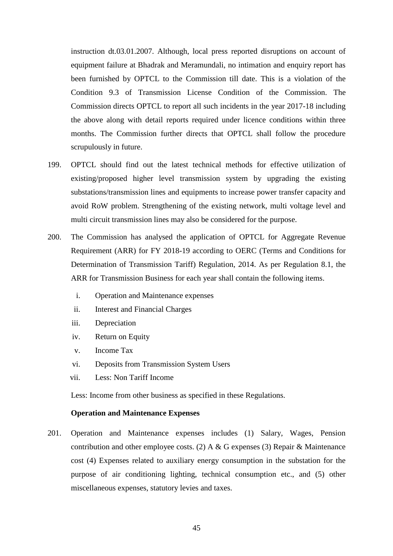instruction dt.03.01.2007. Although, local press reported disruptions on account of equipment failure at Bhadrak and Meramundali, no intimation and enquiry report has been furnished by OPTCL to the Commission till date. This is a violation of the Condition 9.3 of Transmission License Condition of the Commission. The Commission directs OPTCL to report all such incidents in the year 2017-18 including the above along with detail reports required under licence conditions within three months. The Commission further directs that OPTCL shall follow the procedure scrupulously in future.

- 199. OPTCL should find out the latest technical methods for effective utilization of existing/proposed higher level transmission system by upgrading the existing substations/transmission lines and equipments to increase power transfer capacity and avoid RoW problem. Strengthening of the existing network, multi voltage level and multi circuit transmission lines may also be considered for the purpose.
- 200. The Commission has analysed the application of OPTCL for Aggregate Revenue Requirement (ARR) for FY 2018-19 according to OERC (Terms and Conditions for Determination of Transmission Tariff) Regulation, 2014. As per Regulation 8.1, the ARR for Transmission Business for each year shall contain the following items.
	- i. Operation and Maintenance expenses
	- ii. Interest and Financial Charges
	- iii. Depreciation
	- iv. Return on Equity
	- v. Income Tax
	- vi. Deposits from Transmission System Users
	- vii. Less: Non Tariff Income

Less: Income from other business as specified in these Regulations.

#### **Operation and Maintenance Expenses**

201. Operation and Maintenance expenses includes (1) Salary, Wages, Pension contribution and other employee costs. (2) A & G expenses (3) Repair & Maintenance cost (4) Expenses related to auxiliary energy consumption in the substation for the purpose of air conditioning lighting, technical consumption etc., and (5) other miscellaneous expenses, statutory levies and taxes.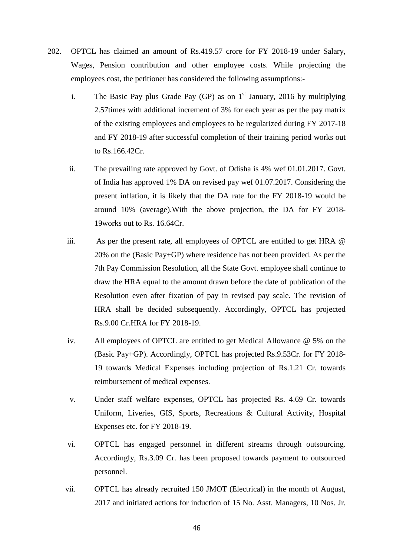- 202. OPTCL has claimed an amount of Rs.419.57 crore for FY 2018-19 under Salary, Wages, Pension contribution and other employee costs. While projecting the employees cost, the petitioner has considered the following assumptions:
	- i. The Basic Pay plus Grade Pay (GP) as on  $1<sup>st</sup>$  January, 2016 by multiplying 2.57times with additional increment of 3% for each year as per the pay matrix of the existing employees and employees to be regularized during FY 2017-18 and FY 2018-19 after successful completion of their training period works out to Rs.166.42Cr.
	- ii. The prevailing rate approved by Govt. of Odisha is 4% wef 01.01.2017. Govt. of India has approved 1% DA on revised pay wef 01.07.2017. Considering the present inflation, it is likely that the DA rate for the FY 2018-19 would be around 10% (average).With the above projection, the DA for FY 2018- 19works out to Rs. 16.64Cr.
	- iii. As per the present rate, all employees of OPTCL are entitled to get HRA @ 20% on the (Basic Pay+GP) where residence has not been provided. As per the 7th Pay Commission Resolution, all the State Govt. employee shall continue to draw the HRA equal to the amount drawn before the date of publication of the Resolution even after fixation of pay in revised pay scale. The revision of HRA shall be decided subsequently. Accordingly, OPTCL has projected Rs.9.00 Cr.HRA for FY 2018-19.
	- iv. All employees of OPTCL are entitled to get Medical Allowance @ 5% on the (Basic Pay+GP). Accordingly, OPTCL has projected Rs.9.53Cr. for FY 2018- 19 towards Medical Expenses including projection of Rs.1.21 Cr. towards reimbursement of medical expenses.
	- v. Under staff welfare expenses, OPTCL has projected Rs. 4.69 Cr. towards Uniform, Liveries, GIS, Sports, Recreations & Cultural Activity, Hospital Expenses etc. for FY 2018-19.
	- vi. OPTCL has engaged personnel in different streams through outsourcing. Accordingly, Rs.3.09 Cr. has been proposed towards payment to outsourced personnel.
	- vii. OPTCL has already recruited 150 JMOT (Electrical) in the month of August, 2017 and initiated actions for induction of 15 No. Asst. Managers, 10 Nos. Jr.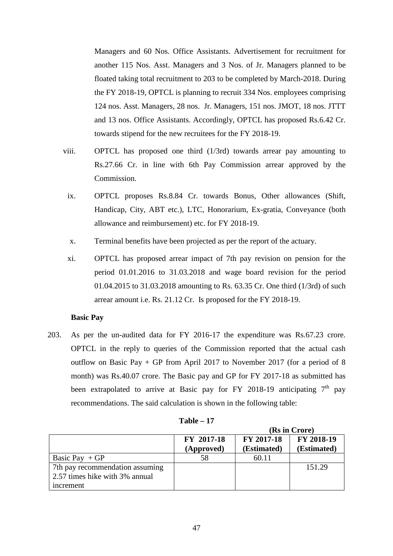Managers and 60 Nos. Office Assistants. Advertisement for recruitment for another 115 Nos. Asst. Managers and 3 Nos. of Jr. Managers planned to be floated taking total recruitment to 203 to be completed by March-2018. During the FY 2018-19, OPTCL is planning to recruit 334 Nos. employees comprising 124 nos. Asst. Managers, 28 nos. Jr. Managers, 151 nos. JMOT, 18 nos. JTTT and 13 nos. Office Assistants. Accordingly, OPTCL has proposed Rs.6.42 Cr. towards stipend for the new recruitees for the FY 2018-19.

- viii. OPTCL has proposed one third (1/3rd) towards arrear pay amounting to Rs.27.66 Cr. in line with 6th Pay Commission arrear approved by the Commission.
- ix. OPTCL proposes Rs.8.84 Cr. towards Bonus, Other allowances (Shift, Handicap, City, ABT etc.), LTC, Honorarium, Ex-gratia, Conveyance (both allowance and reimbursement) etc. for FY 2018-19.
- x. Terminal benefits have been projected as per the report of the actuary.
- xi. OPTCL has proposed arrear impact of 7th pay revision on pension for the period 01.01.2016 to 31.03.2018 and wage board revision for the period 01.04.2015 to 31.03.2018 amounting to Rs. 63.35 Cr. One third (1/3rd) of such arrear amount i.e. Rs. 21.12 Cr. Is proposed for the FY 2018-19.

#### **Basic Pay**

203. As per the un-audited data for FY 2016-17 the expenditure was Rs.67.23 crore. OPTCL in the reply to queries of the Commission reported that the actual cash outflow on Basic Pay + GP from April 2017 to November 2017 (for a period of 8 month) was Rs.40.07 crore. The Basic pay and GP for FY 2017-18 as submitted has been extrapolated to arrive at Basic pay for FY 2018-19 anticipating  $7<sup>th</sup>$  pay recommendations. The said calculation is shown in the following table:

|                                 |                   |             | (Rs in Crore) |
|---------------------------------|-------------------|-------------|---------------|
|                                 | <b>FY 2017-18</b> | FY 2017-18  | FY 2018-19    |
|                                 | (Approved)        | (Estimated) | (Estimated)   |
| Basic Pay $+GP$                 | 58                | 60.11       |               |
| 7th pay recommendation assuming |                   |             | 151.29        |
| 2.57 times hike with 3% annual  |                   |             |               |
| increment                       |                   |             |               |

**Table – 17**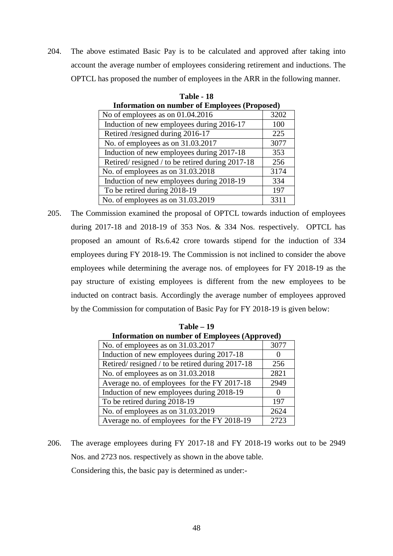204. The above estimated Basic Pay is to be calculated and approved after taking into account the average number of employees considering retirement and inductions. The OPTCL has proposed the number of employees in the ARR in the following manner.

| Information on number of Employees (Proposed)   |      |  |  |  |
|-------------------------------------------------|------|--|--|--|
| No of employees as on 01.04.2016                | 3202 |  |  |  |
| Induction of new employees during 2016-17       | 100  |  |  |  |
| Retired /resigned during 2016-17                | 225  |  |  |  |
| No. of employees as on 31.03.2017               | 3077 |  |  |  |
| Induction of new employees during 2017-18       | 353  |  |  |  |
| Retired/resigned / to be retired during 2017-18 | 256  |  |  |  |
| No. of employees as on 31.03.2018               | 3174 |  |  |  |
| Induction of new employees during 2018-19       | 334  |  |  |  |
| To be retired during 2018-19                    | 197  |  |  |  |
| No. of employees as on 31.03.2019               | 3311 |  |  |  |

**Table - 18 Information on number of Employees (Proposed)** 

205. The Commission examined the proposal of OPTCL towards induction of employees during 2017-18 and 2018-19 of 353 Nos. & 334 Nos. respectively. OPTCL has proposed an amount of Rs.6.42 crore towards stipend for the induction of 334 employees during FY 2018-19. The Commission is not inclined to consider the above employees while determining the average nos. of employees for FY 2018-19 as the pay structure of existing employees is different from the new employees to be inducted on contract basis. Accordingly the average number of employees approved by the Commission for computation of Basic Pay for FY 2018-19 is given below:

| $Table - 19$                                         |                   |  |  |  |
|------------------------------------------------------|-------------------|--|--|--|
| <b>Information on number of Employees (Approved)</b> |                   |  |  |  |
| No. of employees as on 31.03.2017                    | 3077              |  |  |  |
| Induction of new employees during 2017-18            | 0                 |  |  |  |
| Retired/resigned / to be retired during 2017-18      | 256               |  |  |  |
| No. of employees as on 31.03.2018                    | 2821              |  |  |  |
| Average no. of employees for the FY 2017-18          | 2949              |  |  |  |
| Induction of new employees during 2018-19            | $\mathbf{\Omega}$ |  |  |  |
| To be retired during 2018-19                         | 197               |  |  |  |
| No. of employees as on 31.03.2019                    | 2624              |  |  |  |
| Average no. of employees for the FY 2018-19          | 2723              |  |  |  |

206. The average employees during FY 2017-18 and FY 2018-19 works out to be 2949 Nos. and 2723 nos. respectively as shown in the above table. Considering this, the basic pay is determined as under:-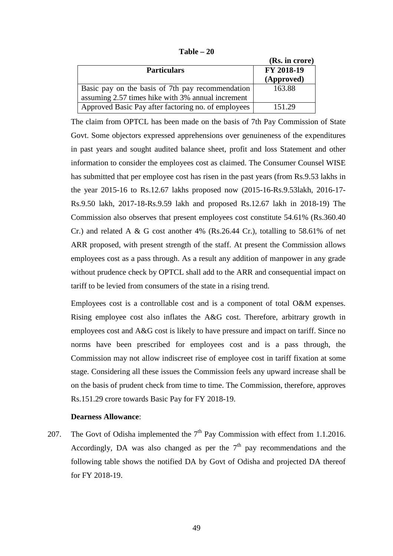|                                                     | (Rs. in crore) |
|-----------------------------------------------------|----------------|
| <b>Particulars</b>                                  | FY 2018-19     |
|                                                     | (Approved)     |
| Basic pay on the basis of 7th pay recommendation    | 163.88         |
| assuming 2.57 times hike with 3% annual increment   |                |
| Approved Basic Pay after factoring no. of employees | 151.29         |

**Table – 20** 

The claim from OPTCL has been made on the basis of 7th Pay Commission of State Govt. Some objectors expressed apprehensions over genuineness of the expenditures in past years and sought audited balance sheet, profit and loss Statement and other information to consider the employees cost as claimed. The Consumer Counsel WISE has submitted that per employee cost has risen in the past years (from Rs.9.53 lakhs in the year 2015-16 to Rs.12.67 lakhs proposed now (2015-16-Rs.9.53lakh, 2016-17- Rs.9.50 lakh, 2017-18-Rs.9.59 lakh and proposed Rs.12.67 lakh in 2018-19) The Commission also observes that present employees cost constitute 54.61% (Rs.360.40 Cr.) and related A & G cost another  $4\%$  (Rs.26.44 Cr.), totalling to 58.61% of net ARR proposed, with present strength of the staff. At present the Commission allows employees cost as a pass through. As a result any addition of manpower in any grade without prudence check by OPTCL shall add to the ARR and consequential impact on tariff to be levied from consumers of the state in a rising trend.

Employees cost is a controllable cost and is a component of total O&M expenses. Rising employee cost also inflates the A&G cost. Therefore, arbitrary growth in employees cost and A&G cost is likely to have pressure and impact on tariff. Since no norms have been prescribed for employees cost and is a pass through, the Commission may not allow indiscreet rise of employee cost in tariff fixation at some stage. Considering all these issues the Commission feels any upward increase shall be on the basis of prudent check from time to time. The Commission, therefore, approves Rs.151.29 crore towards Basic Pay for FY 2018-19.

# **Dearness Allowance**:

207. The Govt of Odisha implemented the  $7<sup>th</sup>$  Pay Commission with effect from 1.1.2016. Accordingly, DA was also changed as per the  $7<sup>th</sup>$  pay recommendations and the following table shows the notified DA by Govt of Odisha and projected DA thereof for FY 2018-19.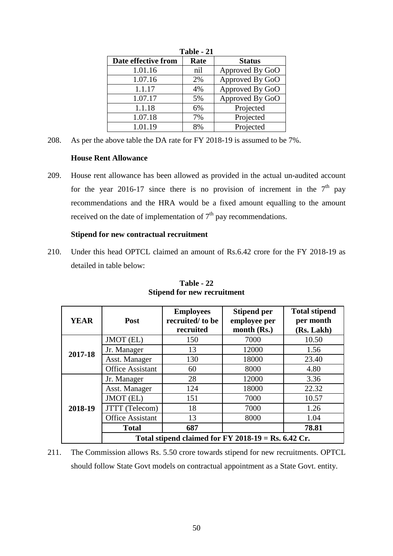| 1 avie - <i>4</i> 1 |      |                 |  |  |  |  |
|---------------------|------|-----------------|--|--|--|--|
| Date effective from | Rate | <b>Status</b>   |  |  |  |  |
| 1.01.16             | nil  | Approved By GoO |  |  |  |  |
| 1.07.16             | 2%   | Approved By GoO |  |  |  |  |
| 1.1.17              | 4%   | Approved By GoO |  |  |  |  |
| 1.07.17             | 5%   | Approved By GoO |  |  |  |  |
| 1.1.18              | 6%   | Projected       |  |  |  |  |
| 1.07.18             | 7%   | Projected       |  |  |  |  |
| 1.01.19             | 8%   | Projected       |  |  |  |  |

**Table - 21** 

208. As per the above table the DA rate for FY 2018-19 is assumed to be 7%.

# **House Rent Allowance**

209. House rent allowance has been allowed as provided in the actual un-audited account for the year 2016-17 since there is no provision of increment in the  $7<sup>th</sup>$  pay recommendations and the HRA would be a fixed amount equalling to the amount received on the date of implementation of  $7<sup>th</sup>$  pay recommendations.

# **Stipend for new contractual recruitment**

210. Under this head OPTCL claimed an amount of Rs.6.42 crore for the FY 2018-19 as detailed in table below:

| <b>YEAR</b> | Post                    | <b>Employees</b><br>recruited/to be<br>recruited      | <b>Stipend per</b><br>employee per<br>month (Rs.) | <b>Total stipend</b><br>per month<br>(Rs. Lakh) |
|-------------|-------------------------|-------------------------------------------------------|---------------------------------------------------|-------------------------------------------------|
|             | JMOT (EL)               | 150                                                   | 7000                                              | 10.50                                           |
| 2017-18     | Jr. Manager             | 13                                                    | 12000                                             | 1.56                                            |
|             | Asst. Manager           | 130                                                   | 18000                                             | 23.40                                           |
|             | <b>Office Assistant</b> | 60                                                    | 8000                                              | 4.80                                            |
|             | Jr. Manager             | 28                                                    | 12000                                             | 3.36                                            |
|             | Asst. Manager           | 124                                                   | 18000                                             | 22.32                                           |
|             | JMOT (EL)               | 151                                                   | 7000                                              | 10.57                                           |
| 2018-19     | JTTT (Telecom)          | 18                                                    | 7000                                              | 1.26                                            |
|             | <b>Office Assistant</b> | 13                                                    | 8000                                              | 1.04                                            |
|             | <b>Total</b>            | 687                                                   |                                                   | 78.81                                           |
|             |                         | Total stipend claimed for FY 2018-19 = Rs. $6.42$ Cr. |                                                   |                                                 |

**Table - 22 Stipend for new recruitment** 

211. The Commission allows Rs. 5.50 crore towards stipend for new recruitments. OPTCL should follow State Govt models on contractual appointment as a State Govt. entity.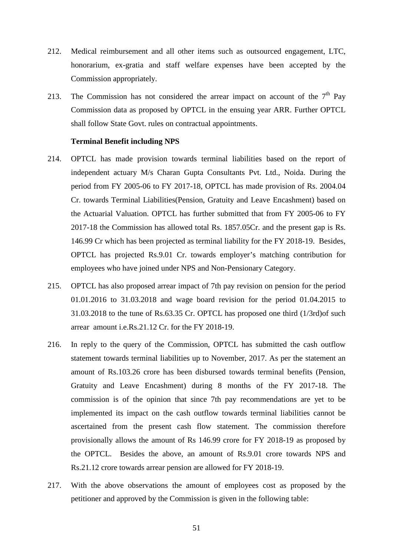- 212. Medical reimbursement and all other items such as outsourced engagement, LTC, honorarium, ex-gratia and staff welfare expenses have been accepted by the Commission appropriately.
- 213. The Commission has not considered the arrear impact on account of the  $7<sup>th</sup>$  Pay Commission data as proposed by OPTCL in the ensuing year ARR. Further OPTCL shall follow State Govt. rules on contractual appointments.

#### **Terminal Benefit including NPS**

- 214. OPTCL has made provision towards terminal liabilities based on the report of independent actuary M/s Charan Gupta Consultants Pvt. Ltd., Noida. During the period from FY 2005-06 to FY 2017-18, OPTCL has made provision of Rs. 2004.04 Cr. towards Terminal Liabilities(Pension, Gratuity and Leave Encashment) based on the Actuarial Valuation. OPTCL has further submitted that from FY 2005-06 to FY 2017-18 the Commission has allowed total Rs. 1857.05Cr. and the present gap is Rs. 146.99 Cr which has been projected as terminal liability for the FY 2018-19. Besides, OPTCL has projected Rs.9.01 Cr. towards employer's matching contribution for employees who have joined under NPS and Non-Pensionary Category.
- 215. OPTCL has also proposed arrear impact of 7th pay revision on pension for the period 01.01.2016 to 31.03.2018 and wage board revision for the period 01.04.2015 to 31.03.2018 to the tune of Rs.63.35 Cr. OPTCL has proposed one third (1/3rd)of such arrear amount i.e.Rs.21.12 Cr. for the FY 2018-19.
- 216. In reply to the query of the Commission, OPTCL has submitted the cash outflow statement towards terminal liabilities up to November, 2017. As per the statement an amount of Rs.103.26 crore has been disbursed towards terminal benefits (Pension, Gratuity and Leave Encashment) during 8 months of the FY 2017-18. The commission is of the opinion that since 7th pay recommendations are yet to be implemented its impact on the cash outflow towards terminal liabilities cannot be ascertained from the present cash flow statement. The commission therefore provisionally allows the amount of Rs 146.99 crore for FY 2018-19 as proposed by the OPTCL. Besides the above, an amount of Rs.9.01 crore towards NPS and Rs.21.12 crore towards arrear pension are allowed for FY 2018-19.
- 217. With the above observations the amount of employees cost as proposed by the petitioner and approved by the Commission is given in the following table: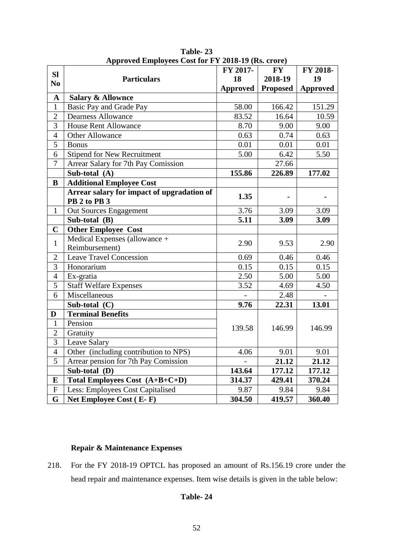|                |                                                            | $1.401017$ (100. 01 01 0)<br>FY 2017- | <b>FY</b>       | FY 2018-        |
|----------------|------------------------------------------------------------|---------------------------------------|-----------------|-----------------|
| SI             | <b>Particulars</b>                                         | 18                                    | 2018-19         | 19              |
| N <sub>0</sub> |                                                            | Approved                              | <b>Proposed</b> | <b>Approved</b> |
| $\mathbf A$    | <b>Salary &amp; Allownce</b>                               |                                       |                 |                 |
| $\mathbf{1}$   | Basic Pay and Grade Pay                                    | 58.00                                 | 166.42          | 151.29          |
| $\overline{2}$ | <b>Dearness Allowance</b>                                  | 83.52                                 | 16.64           | 10.59           |
| $\overline{3}$ | <b>House Rent Allowance</b>                                | 8.70                                  | 9.00            | 9.00            |
| $\overline{4}$ | <b>Other Allowance</b>                                     | 0.63                                  | 0.74            | 0.63            |
| 5              | <b>Bonus</b>                                               | 0.01                                  | 0.01            | 0.01            |
| 6              | <b>Stipend for New Recruitment</b>                         | 5.00                                  | 6.42            | 5.50            |
| $\overline{7}$ | Arrear Salary for 7th Pay Comission                        |                                       | 27.66           |                 |
|                | Sub-total (A)                                              | 155.86                                | 226.89          | 177.02          |
| B              | <b>Additional Employee Cost</b>                            |                                       |                 |                 |
|                | Arrear salary for impact of upgradation of<br>PB 2 to PB 3 | 1.35                                  |                 |                 |
| $\mathbf{1}$   | Out Sources Engagement                                     | 3.76                                  | 3.09            | 3.09            |
|                | Sub-total (B)                                              | 5.11                                  | 3.09            | 3.09            |
| $\mathbf C$    | <b>Other Employee Cost</b>                                 |                                       |                 |                 |
|                | Medical Expenses (allowance +                              |                                       |                 |                 |
| $\mathbf{1}$   | Reimbursement)                                             | 2.90                                  | 9.53            | 2.90            |
| $\overline{2}$ | <b>Leave Travel Concession</b>                             | 0.69                                  | 0.46            | 0.46            |
| $\overline{3}$ | Honorarium                                                 | 0.15                                  | 0.15            | 0.15            |
| $\overline{4}$ | Ex-gratia                                                  | 2.50                                  | 5.00            | 5.00            |
| $\overline{5}$ | <b>Staff Welfare Expenses</b>                              | 3.52                                  | 4.69            | 4.50            |
| 6              | Miscellaneous                                              |                                       | 2.48            |                 |
|                | Sub-total (C)                                              | 9.76                                  | 22.31           | 13.01           |
| D              | <b>Terminal Benefits</b>                                   |                                       |                 |                 |
| $\mathbf{1}$   | Pension                                                    | 139.58                                | 146.99          | 146.99          |
| $\overline{2}$ | Gratuity                                                   |                                       |                 |                 |
| $\overline{3}$ | Leave Salary                                               |                                       |                 |                 |
| $\overline{4}$ | Other (including contribution to NPS)                      | 4.06                                  | 9.01            | 9.01            |
| 5              | Arrear pension for 7th Pay Comission                       |                                       | 21.12           | 21.12           |
|                | Sub-total (D)                                              | 143.64                                | 177.12          | 177.12          |
| ${\bf E}$      | Total Employees Cost (A+B+C+D)                             | 314.37                                | 429.41          | 370.24          |
| ${\bf F}$      | Less: Employees Cost Capitalised                           | 9.87                                  | 9.84            | 9.84            |
| $\mathbf G$    | Net Employee Cost (E-F)                                    | 304.50                                | 419.57          | 360.40          |

**Table- 23 Approved Employees Cost for FY 2018-19 (Rs. crore)** 

# **Repair & Maintenance Expenses**

218. For the FY 2018-19 OPTCL has proposed an amount of Rs.156.19 crore under the head repair and maintenance expenses. Item wise details is given in the table below:

# **Table- 24**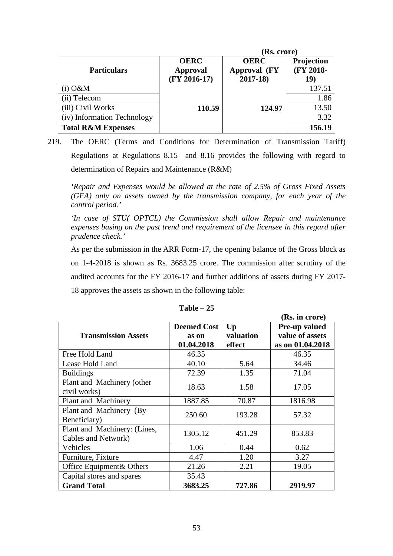|                               | (Rs. crore)                                      |                                            |                                |
|-------------------------------|--------------------------------------------------|--------------------------------------------|--------------------------------|
| <b>Particulars</b>            | <b>OERC</b><br><b>Approval</b><br>$(FY 2016-17)$ | <b>OERC</b><br>Approval (FY<br>$2017 - 18$ | Projection<br>(FY 2018-<br>19) |
| $(i)$ O&M                     |                                                  |                                            | 137.51                         |
| (ii) Telecom                  |                                                  |                                            | 1.86                           |
| (iii) Civil Works             | 110.59                                           | 124.97                                     | 13.50                          |
| (iv) Information Technology   |                                                  |                                            | 3.32                           |
| <b>Total R&amp;M Expenses</b> |                                                  |                                            | 156.19                         |

219. The OERC (Terms and Conditions for Determination of Transmission Tariff) Regulations at Regulations 8.15 and 8.16 provides the following with regard to determination of Repairs and Maintenance (R&M)

*'Repair and Expenses would be allowed at the rate of 2.5% of Gross Fixed Assets (GFA) only on assets owned by the transmission company, for each year of the control period.'* 

*'In case of STU( OPTCL) the Commission shall allow Repair and maintenance expenses basing on the past trend and requirement of the licensee in this regard after prudence check.'*

As per the submission in the ARR Form-17, the opening balance of the Gross block as on 1-4-2018 is shown as Rs. 3683.25 crore. The commission after scrutiny of the audited accounts for the FY 2016-17 and further additions of assets during FY 2017- 18 approves the assets as shown in the following table:

|                              |                    |           | (Rs. in crore)   |
|------------------------------|--------------------|-----------|------------------|
|                              | <b>Deemed Cost</b> | $U_{p}$   | Pre-up valued    |
| <b>Transmission Assets</b>   | as on              | valuation | value of assets  |
|                              | 01.04.2018         | effect    | as on 01.04.2018 |
| Free Hold Land               | 46.35              |           | 46.35            |
| Lease Hold Land              | 40.10              | 5.64      | 34.46            |
| <b>Buildings</b>             | 72.39              | 1.35      | 71.04            |
| Plant and Machinery (other   | 18.63              | 1.58      | 17.05            |
| civil works)                 |                    |           |                  |
| Plant and Machinery          | 1887.85            | 70.87     | 1816.98          |
| Plant and Machinery (By      | 250.60             | 193.28    | 57.32            |
| Beneficiary)                 |                    |           |                  |
| Plant and Machinery: (Lines, | 1305.12            | 451.29    | 853.83           |
| Cables and Network)          |                    |           |                  |
| Vehicles                     | 1.06               | 0.44      | 0.62             |
| Furniture, Fixture           | 4.47               | 1.20      | 3.27             |
| Office Equipment & Others    | 21.26              | 2.21      | 19.05            |
| Capital stores and spares    | 35.43              |           |                  |
| <b>Grand Total</b>           | 3683.25            | 727.86    | 2919.97          |

**Table – 25**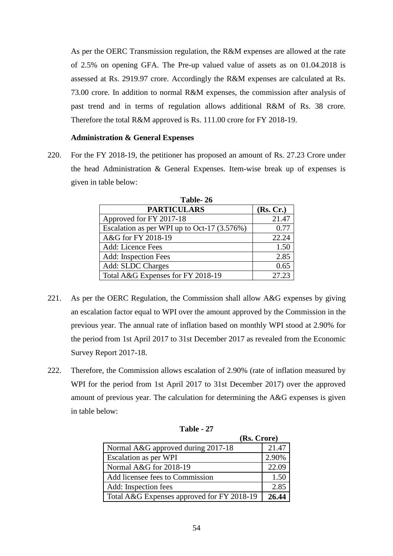As per the OERC Transmission regulation, the R&M expenses are allowed at the rate of 2.5% on opening GFA. The Pre-up valued value of assets as on 01.04.2018 is assessed at Rs. 2919.97 crore. Accordingly the R&M expenses are calculated at Rs. 73.00 crore. In addition to normal R&M expenses, the commission after analysis of past trend and in terms of regulation allows additional R&M of Rs. 38 crore. Therefore the total R&M approved is Rs. 111.00 crore for FY 2018-19.

# **Administration & General Expenses**

220. For the FY 2018-19, the petitioner has proposed an amount of Rs. 27.23 Crore under the head Administration & General Expenses. Item-wise break up of expenses is given in table below:

| Table-26                                      |           |  |  |  |  |
|-----------------------------------------------|-----------|--|--|--|--|
| <b>PARTICULARS</b>                            | (Rs, Cr.) |  |  |  |  |
| Approved for FY 2017-18                       | 21.47     |  |  |  |  |
| Escalation as per WPI up to Oct-17 $(3.576%)$ | 0.77      |  |  |  |  |
| A&G for FY 2018-19                            | 22.24     |  |  |  |  |
| Add: Licence Fees                             | 1.50      |  |  |  |  |
| Add: Inspection Fees                          | 2.85      |  |  |  |  |
| Add: SLDC Charges                             | 0.65      |  |  |  |  |
| Total A&G Expenses for FY 2018-19             | 27.23     |  |  |  |  |

221. As per the OERC Regulation, the Commission shall allow A&G expenses by giving an escalation factor equal to WPI over the amount approved by the Commission in the previous year. The annual rate of inflation based on monthly WPI stood at 2.90% for the period from 1st April 2017 to 31st December 2017 as revealed from the Economic Survey Report 2017-18.

222. Therefore, the Commission allows escalation of 2.90% (rate of inflation measured by WPI for the period from 1st April 2017 to 31st December 2017) over the approved amount of previous year. The calculation for determining the A&G expenses is given in table below:

| (Rs. Crore)                                |       |
|--------------------------------------------|-------|
| Normal A&G approved during 2017-18         | 21.47 |
| Escalation as per WPI                      | 2.90% |
| Normal A&G for 2018-19                     | 22.09 |
| Add licensee fees to Commission            | 1.50  |
| Add: Inspection fees                       | 2.85  |
| Total A&G Expenses approved for FY 2018-19 | 26.44 |

**Table - 27**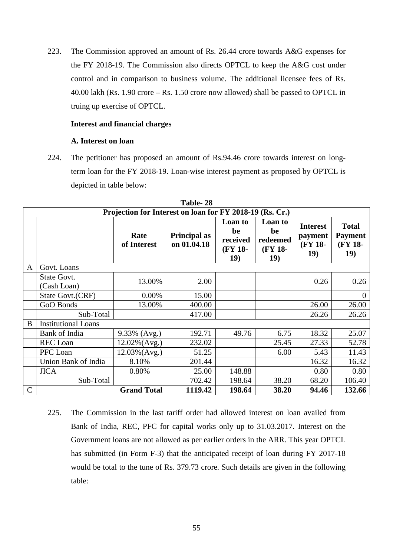223. The Commission approved an amount of Rs. 26.44 crore towards A&G expenses for the FY 2018-19. The Commission also directs OPTCL to keep the A&G cost under control and in comparison to business volume. The additional licensee fees of Rs. 40.00 lakh (Rs. 1.90 crore – Rs. 1.50 crore now allowed) shall be passed to OPTCL in truing up exercise of OPTCL.

#### **Interest and financial charges**

# **A. Interest on loan**

224. The petitioner has proposed an amount of Rs.94.46 crore towards interest on longterm loan for the FY 2018-19. Loan-wise interest payment as proposed by OPTCL is depicted in table below:

|             | Table- 28                         |                                                          |                             |                                             |                                             |                                              |                                                          |  |  |
|-------------|-----------------------------------|----------------------------------------------------------|-----------------------------|---------------------------------------------|---------------------------------------------|----------------------------------------------|----------------------------------------------------------|--|--|
|             |                                   | Projection for Interest on loan for FY 2018-19 (Rs. Cr.) |                             |                                             |                                             |                                              |                                                          |  |  |
|             |                                   | Rate<br>of Interest                                      | Principal as<br>on 01.04.18 | Loan to<br>be<br>received<br>(FY 18-<br>19) | Loan to<br>be<br>redeemed<br>(FY 18-<br>19) | <b>Interest</b><br>payment<br>(FY 18-<br>19) | <b>Total</b><br><b>Payment</b><br>(FY 18-<br><b>19</b> ) |  |  |
| A           | Govt. Loans                       |                                                          |                             |                                             |                                             |                                              |                                                          |  |  |
|             | <b>State Govt.</b><br>(Cash Loan) | 13.00%                                                   | 2.00                        |                                             |                                             | 0.26                                         | 0.26                                                     |  |  |
|             | State Govt.(CRF)                  | 0.00%                                                    | 15.00                       |                                             |                                             |                                              | $\overline{0}$                                           |  |  |
|             | GoO Bonds                         | 13.00%                                                   | 400.00                      |                                             |                                             | 26.00                                        | 26.00                                                    |  |  |
|             | Sub-Total                         |                                                          | 417.00                      |                                             |                                             | 26.26                                        | 26.26                                                    |  |  |
| B           | <b>Institutional Loans</b>        |                                                          |                             |                                             |                                             |                                              |                                                          |  |  |
|             | Bank of India                     | 9.33% (Avg.)                                             | 192.71                      | 49.76                                       | 6.75                                        | 18.32                                        | 25.07                                                    |  |  |
|             | <b>REC</b> Loan                   | 12.02%(Avg.)                                             | 232.02                      |                                             | 25.45                                       | 27.33                                        | 52.78                                                    |  |  |
|             | PFC Loan                          | $12.03\%$ (Avg.)                                         | 51.25                       |                                             | 6.00                                        | 5.43                                         | 11.43                                                    |  |  |
|             | Union Bank of India               | 8.10%                                                    | 201.44                      |                                             |                                             | 16.32                                        | 16.32                                                    |  |  |
|             | <b>JICA</b>                       | 0.80%                                                    | 25.00                       | 148.88                                      |                                             | 0.80                                         | 0.80                                                     |  |  |
|             | Sub-Total                         |                                                          | 702.42                      | 198.64                                      | 38.20                                       | 68.20                                        | 106.40                                                   |  |  |
| $\mathbf C$ |                                   | <b>Grand Total</b>                                       | 1119.42                     | 198.64                                      | 38.20                                       | 94.46                                        | 132.66                                                   |  |  |

**T**-LL 20

225. The Commission in the last tariff order had allowed interest on loan availed from Bank of India, REC, PFC for capital works only up to 31.03.2017. Interest on the Government loans are not allowed as per earlier orders in the ARR. This year OPTCL has submitted (in Form F-3) that the anticipated receipt of loan during FY 2017-18 would be total to the tune of Rs. 379.73 crore. Such details are given in the following table: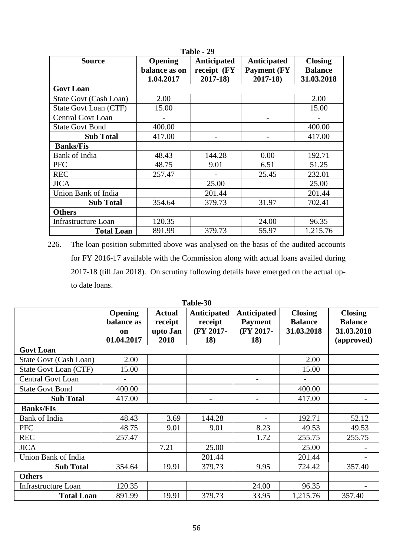| Table - 29                 |                                       |                                                  |                                                          |                                                |  |  |  |  |
|----------------------------|---------------------------------------|--------------------------------------------------|----------------------------------------------------------|------------------------------------------------|--|--|--|--|
| <b>Source</b>              | Opening<br>balance as on<br>1.04.2017 | <b>Anticipated</b><br>receipt (FY<br>$2017 - 18$ | <b>Anticipated</b><br><b>Payment (FY)</b><br>$2017 - 18$ | <b>Closing</b><br><b>Balance</b><br>31.03.2018 |  |  |  |  |
| <b>Govt Loan</b>           |                                       |                                                  |                                                          |                                                |  |  |  |  |
| State Govt (Cash Loan)     | 2.00                                  |                                                  |                                                          | 2.00                                           |  |  |  |  |
| State Govt Loan (CTF)      | 15.00                                 |                                                  |                                                          | 15.00                                          |  |  |  |  |
| <b>Central Govt Loan</b>   |                                       |                                                  | $\overline{\phantom{0}}$                                 |                                                |  |  |  |  |
| <b>State Govt Bond</b>     | 400.00                                |                                                  |                                                          | 400.00                                         |  |  |  |  |
| <b>Sub Total</b>           | 417.00                                |                                                  |                                                          | 417.00                                         |  |  |  |  |
| <b>Banks/Fis</b>           |                                       |                                                  |                                                          |                                                |  |  |  |  |
| Bank of India              | 48.43                                 | 144.28                                           | 0.00                                                     | 192.71                                         |  |  |  |  |
| <b>PFC</b>                 | 48.75                                 | 9.01                                             | 6.51                                                     | 51.25                                          |  |  |  |  |
| <b>REC</b>                 | 257.47                                |                                                  | 25.45                                                    | 232.01                                         |  |  |  |  |
| <b>JICA</b>                |                                       | 25.00                                            |                                                          | 25.00                                          |  |  |  |  |
| Union Bank of India        |                                       | 201.44                                           |                                                          | 201.44                                         |  |  |  |  |
| <b>Sub Total</b>           | 354.64                                | 379.73                                           | 31.97                                                    | 702.41                                         |  |  |  |  |
| <b>Others</b>              |                                       |                                                  |                                                          |                                                |  |  |  |  |
| <b>Infrastructure Loan</b> | 120.35                                |                                                  | 24.00                                                    | 96.35                                          |  |  |  |  |
| <b>Total Loan</b>          | 891.99                                | 379.73                                           | 55.97                                                    | 1,215.76                                       |  |  |  |  |

226. The loan position submitted above was analysed on the basis of the audited accounts for FY 2016-17 available with the Commission along with actual loans availed during 2017-18 (till Jan 2018). On scrutiny following details have emerged on the actual upto date loans.

|                          |                                                  |                                              | 1 apie-30                                  |                                                          |                                                |                                                              |
|--------------------------|--------------------------------------------------|----------------------------------------------|--------------------------------------------|----------------------------------------------------------|------------------------------------------------|--------------------------------------------------------------|
|                          | <b>Opening</b><br>balance as<br>on<br>01.04.2017 | <b>Actual</b><br>receipt<br>upto Jan<br>2018 | Anticipated<br>receipt<br>(FY 2017-<br>18) | <b>Anticipated</b><br><b>Payment</b><br>(FY 2017-<br>18) | <b>Closing</b><br><b>Balance</b><br>31.03.2018 | <b>Closing</b><br><b>Balance</b><br>31.03.2018<br>(approved) |
| <b>Govt Loan</b>         |                                                  |                                              |                                            |                                                          |                                                |                                                              |
| State Govt (Cash Loan)   | 2.00                                             |                                              |                                            |                                                          | 2.00                                           |                                                              |
| State Govt Loan (CTF)    | 15.00                                            |                                              |                                            |                                                          | 15.00                                          |                                                              |
| <b>Central Govt Loan</b> |                                                  |                                              |                                            |                                                          |                                                |                                                              |
| <b>State Govt Bond</b>   | 400.00                                           |                                              |                                            |                                                          | 400.00                                         |                                                              |
| <b>Sub Total</b>         | 417.00                                           |                                              | $\overline{\phantom{a}}$                   |                                                          | 417.00                                         |                                                              |
| <b>Banks/FIs</b>         |                                                  |                                              |                                            |                                                          |                                                |                                                              |
| Bank of India            | 48.43                                            | 3.69                                         | 144.28                                     |                                                          | 192.71                                         | 52.12                                                        |
| <b>PFC</b>               | 48.75                                            | 9.01                                         | 9.01                                       | 8.23                                                     | 49.53                                          | 49.53                                                        |
| <b>REC</b>               | 257.47                                           |                                              |                                            | 1.72                                                     | 255.75                                         | 255.75                                                       |
| <b>JICA</b>              |                                                  | 7.21                                         | 25.00                                      |                                                          | 25.00                                          |                                                              |
| Union Bank of India      |                                                  |                                              | 201.44                                     |                                                          | 201.44                                         |                                                              |
| <b>Sub Total</b>         | 354.64                                           | 19.91                                        | 379.73                                     | 9.95                                                     | 724.42                                         | 357.40                                                       |
| <b>Others</b>            |                                                  |                                              |                                            |                                                          |                                                |                                                              |
| Infrastructure Loan      | 120.35                                           |                                              |                                            | 24.00                                                    | 96.35                                          |                                                              |
| <b>Total Loan</b>        | 891.99                                           | 19.91                                        | 379.73                                     | 33.95                                                    | 1,215.76                                       | 357.40                                                       |

**Table-30**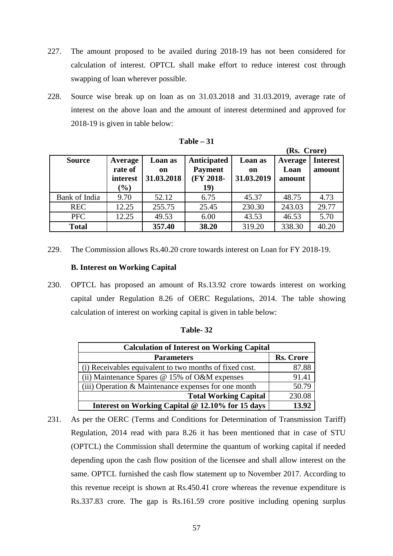- 227. The amount proposed to be availed during 2018-19 has not been considered for calculation of interest. OPTCL shall make effort to reduce interest cost through swapping of loan wherever possible.
- 228. Source wise break up on loan as on 31.03.2018 and 31.03.2019, average rate of interest on the above loan and the amount of interest determined and approved for 2018-19 is given in table below:

|               |                                |                             |                                            |                             | (Rs. Crore)               |                           |
|---------------|--------------------------------|-----------------------------|--------------------------------------------|-----------------------------|---------------------------|---------------------------|
| <b>Source</b> | Average<br>rate of<br>interest | Loan as<br>on<br>31.03.2018 | Anticipated<br><b>Payment</b><br>(FY 2018- | Loan as<br>on<br>31.03.2019 | Average<br>Loan<br>amount | <b>Interest</b><br>amount |
|               | $(\%)$                         |                             | 19)                                        |                             |                           |                           |
| Bank of India | 9.70                           | 52.12                       | 6.75                                       | 45.37                       | 48.75                     | 4.73                      |
| <b>REC</b>    | 12.25                          | 255.75                      | 25.45                                      | 230.30                      | 243.03                    | 29.77                     |
| <b>PFC</b>    | 12.25                          | 49.53                       | 6.00                                       | 43.53                       | 46.53                     | 5.70                      |
| <b>Total</b>  |                                | 357.40                      | 38.20                                      | 319.20                      | 338.30                    | 40.20                     |

| able |  |
|------|--|
|------|--|

229. The Commission allows Rs.40.20 crore towards interest on Loan for FY 2018-19.

#### **B. Interest on Working Capital**

230. OPTCL has proposed an amount of Rs.13.92 crore towards interest on working capital under Regulation 8.26 of OERC Regulations, 2014. The table showing calculation of interest on working capital is given in table below:

| <b>Calculation of Interest on Working Capital</b>       |                  |
|---------------------------------------------------------|------------------|
| <b>Parameters</b>                                       | <b>Rs. Crore</b> |
| (i) Receivables equivalent to two months of fixed cost. | 87.88            |
| (ii) Maintenance Spares $@$ 15% of O&M expenses         | 91.41            |
| (iii) Operation & Maintenance expenses for one month    | 50.79            |

**Total Working Capital** 230.08

**Table- 32** 

231. As per the OERC (Terms and Conditions for Determination of Transmission Tariff) Regulation, 2014 read with para 8.26 it has been mentioned that in case of STU (OPTCL) the Commission shall determine the quantum of working capital if needed depending upon the cash flow position of the licensee and shall allow interest on the same. OPTCL furnished the cash flow statement up to November 2017. According to this revenue receipt is shown at Rs.450.41 crore whereas the revenue expenditure is Rs.337.83 crore. The gap is Rs.161.59 crore positive including opening surplus

**Interest on Working Capital @ 12.10% for 15 days** 13.92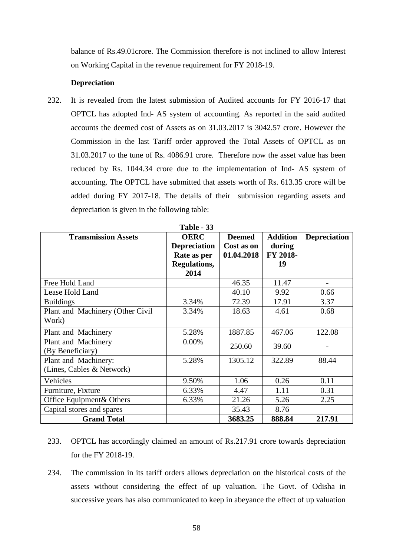balance of Rs.49.01crore. The Commission therefore is not inclined to allow Interest on Working Capital in the revenue requirement for FY 2018-19.

# **Depreciation**

232. It is revealed from the latest submission of Audited accounts for FY 2016-17 that OPTCL has adopted Ind- AS system of accounting. As reported in the said audited accounts the deemed cost of Assets as on 31.03.2017 is 3042.57 crore. However the Commission in the last Tariff order approved the Total Assets of OPTCL as on 31.03.2017 to the tune of Rs. 4086.91 crore. Therefore now the asset value has been reduced by Rs. 1044.34 crore due to the implementation of Ind- AS system of accounting. The OPTCL have submitted that assets worth of Rs. 613.35 crore will be added during FY 2017-18. The details of their submission regarding assets and depreciation is given in the following table:

| <b>Transmission Assets</b>       | <b>OERC</b>         | <b>Deemed</b> | <b>Addition</b> | <b>Depreciation</b> |
|----------------------------------|---------------------|---------------|-----------------|---------------------|
|                                  | <b>Depreciation</b> | Cost as on    | during          |                     |
|                                  | Rate as per         | 01.04.2018    | FY 2018-        |                     |
|                                  | Regulations,        |               | 19              |                     |
|                                  | 2014                |               |                 |                     |
| Free Hold Land                   |                     | 46.35         | 11.47           |                     |
| Lease Hold Land                  |                     | 40.10         | 9.92            | 0.66                |
| <b>Buildings</b>                 | 3.34%               | 72.39         | 17.91           | 3.37                |
| Plant and Machinery (Other Civil | 3.34%               | 18.63         | 4.61            | 0.68                |
| Work)                            |                     |               |                 |                     |
| Plant and Machinery              | 5.28%               | 1887.85       | 467.06          | 122.08              |
| Plant and Machinery              | 0.00%               | 250.60        | 39.60           |                     |
| (By Beneficiary)                 |                     |               |                 |                     |
| Plant and Machinery:             | 5.28%               | 1305.12       | 322.89          | 88.44               |
| (Lines, Cables & Network)        |                     |               |                 |                     |
| Vehicles                         | 9.50%               | 1.06          | 0.26            | 0.11                |
| Furniture, Fixture               | 6.33%               | 4.47          | 1.11            | 0.31                |
| Office Equipment& Others         | 6.33%               | 21.26         | 5.26            | 2.25                |
| Capital stores and spares        |                     | 35.43         | 8.76            |                     |
| <b>Grand Total</b>               |                     | 3683.25       | 888.84          | 217.91              |

**Table - 33** 

- 233. OPTCL has accordingly claimed an amount of Rs.217.91 crore towards depreciation for the FY 2018-19.
- 234. The commission in its tariff orders allows depreciation on the historical costs of the assets without considering the effect of up valuation. The Govt. of Odisha in successive years has also communicated to keep in abeyance the effect of up valuation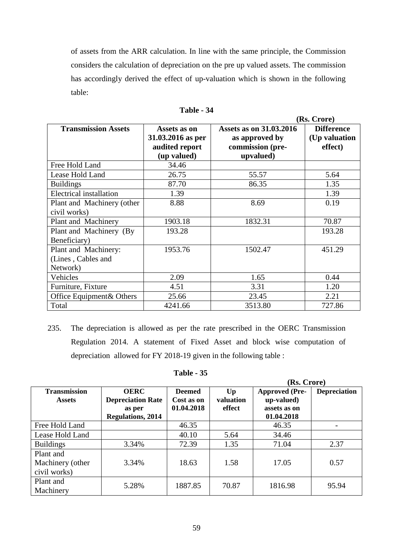of assets from the ARR calculation. In line with the same principle, the Commission considers the calculation of depreciation on the pre up valued assets. The commission has accordingly derived the effect of up-valuation which is shown in the following table:

|                                                        |                                                                                                                                                         |         | (Rs. Crore)                                    |
|--------------------------------------------------------|---------------------------------------------------------------------------------------------------------------------------------------------------------|---------|------------------------------------------------|
| <b>Transmission Assets</b>                             | <b>Assets as on 31.03.2016</b><br>Assets as on<br>31.03.2016 as per<br>as approved by<br>audited report<br>commission (pre-<br>(up valued)<br>upvalued) |         | <b>Difference</b><br>(Up valuation)<br>effect) |
| Free Hold Land                                         | 34.46                                                                                                                                                   |         |                                                |
| Lease Hold Land                                        | 26.75                                                                                                                                                   | 55.57   | 5.64                                           |
| <b>Buildings</b>                                       | 87.70                                                                                                                                                   | 86.35   | 1.35                                           |
| Electrical installation                                | 1.39                                                                                                                                                    |         | 1.39                                           |
| Plant and Machinery (other<br>civil works)             | 8.88                                                                                                                                                    | 8.69    | 0.19                                           |
| Plant and Machinery                                    | 1903.18                                                                                                                                                 | 1832.31 | 70.87                                          |
| Plant and Machinery (By<br>Beneficiary)                | 193.28                                                                                                                                                  |         | 193.28                                         |
| Plant and Machinery:<br>(Lines, Cables and<br>Network) | 1953.76                                                                                                                                                 | 1502.47 | 451.29                                         |
| Vehicles                                               | 2.09                                                                                                                                                    | 1.65    | 0.44                                           |
| Furniture, Fixture                                     | 4.51                                                                                                                                                    | 3.31    | 1.20                                           |
| Office Equipment& Others                               | 25.66                                                                                                                                                   | 23.45   | 2.21                                           |
| Total                                                  | 4241.66                                                                                                                                                 | 3513.80 | 727.86                                         |

**Table - 34** 

235. The depreciation is allowed as per the rate prescribed in the OERC Transmission Regulation 2014. A statement of Fixed Asset and block wise computation of depreciation allowed for FY 2018-19 given in the following table :

### **Table - 35**

|                                               |                                                                               |                                           |                                | (Rs. Crore)                                                       |                     |
|-----------------------------------------------|-------------------------------------------------------------------------------|-------------------------------------------|--------------------------------|-------------------------------------------------------------------|---------------------|
| <b>Transmission</b><br><b>Assets</b>          | <b>OERC</b><br><b>Depreciation Rate</b><br>as per<br><b>Regulations, 2014</b> | <b>Deemed</b><br>Cost as on<br>01.04.2018 | $U_{p}$<br>valuation<br>effect | <b>Approved (Pre-</b><br>up-valued)<br>assets as on<br>01.04.2018 | <b>Depreciation</b> |
| Free Hold Land                                |                                                                               | 46.35                                     |                                | 46.35                                                             |                     |
| Lease Hold Land                               |                                                                               | 40.10                                     | 5.64                           | 34.46                                                             |                     |
| <b>Buildings</b>                              | 3.34%                                                                         | 72.39                                     | 1.35                           | 71.04                                                             | 2.37                |
| Plant and<br>Machinery (other<br>civil works) | 3.34%                                                                         | 18.63                                     | 1.58                           | 17.05                                                             | 0.57                |
| Plant and<br>Machinery                        | 5.28%                                                                         | 1887.85                                   | 70.87                          | 1816.98                                                           | 95.94               |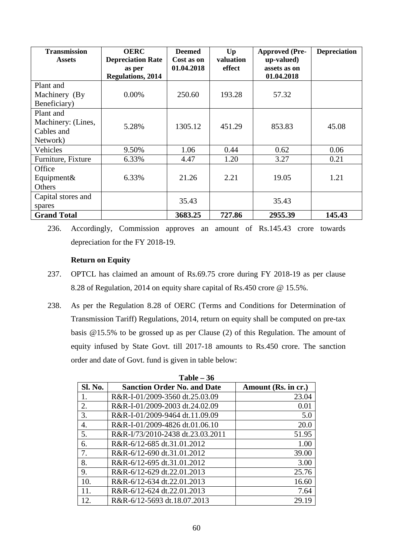| <b>Transmission</b><br><b>Assets</b> | <b>OERC</b><br><b>Depreciation Rate</b> | <b>Deemed</b><br>Cost as on | $U_{p}$<br>valuation | <b>Approved (Pre-</b><br>up-valued) | <b>Depreciation</b> |
|--------------------------------------|-----------------------------------------|-----------------------------|----------------------|-------------------------------------|---------------------|
|                                      | as per                                  | 01.04.2018                  | effect               | assets as on                        |                     |
|                                      | <b>Regulations, 2014</b>                |                             |                      | 01.04.2018                          |                     |
| Plant and                            |                                         |                             |                      |                                     |                     |
| Machinery (By                        | $0.00\%$                                | 250.60                      | 193.28               | 57.32                               |                     |
| Beneficiary)                         |                                         |                             |                      |                                     |                     |
| Plant and                            |                                         |                             |                      |                                     |                     |
| Machinery: (Lines,                   | 5.28%                                   | 1305.12                     | 451.29               | 853.83                              | 45.08               |
| Cables and                           |                                         |                             |                      |                                     |                     |
| Network)                             |                                         |                             |                      |                                     |                     |
| Vehicles                             | 9.50%                                   | 1.06                        | 0.44                 | 0.62                                | 0.06                |
| Furniture, Fixture                   | 6.33%                                   | 4.47                        | 1.20                 | 3.27                                | 0.21                |
| Office                               |                                         |                             |                      |                                     |                     |
| Equipment&                           | 6.33%                                   | 21.26                       | 2.21                 | 19.05                               | 1.21                |
| Others                               |                                         |                             |                      |                                     |                     |
| Capital stores and                   |                                         | 35.43                       |                      | 35.43                               |                     |
| spares                               |                                         |                             |                      |                                     |                     |
| <b>Grand Total</b>                   |                                         | 3683.25                     | 727.86               | 2955.39                             | 145.43              |

<sup>236.</sup> Accordingly, Commission approves an amount of Rs.145.43 crore towards depreciation for the FY 2018-19.

# **Return on Equity**

- 237. OPTCL has claimed an amount of Rs.69.75 crore during FY 2018-19 as per clause 8.28 of Regulation, 2014 on equity share capital of Rs.450 crore @ 15.5%.
- 238. As per the Regulation 8.28 of OERC (Terms and Conditions for Determination of Transmission Tariff) Regulations, 2014, return on equity shall be computed on pre-tax basis @15.5% to be grossed up as per Clause (2) of this Regulation. The amount of equity infused by State Govt. till 2017-18 amounts to Rs.450 crore. The sanction order and date of Govt. fund is given in table below:

| $Table - 36$ |                                    |                     |  |
|--------------|------------------------------------|---------------------|--|
| Sl. No.      | <b>Sanction Order No. and Date</b> | Amount (Rs. in cr.) |  |
| 1.           | R&R-I-01/2009-3560 dt.25.03.09     | 23.04               |  |
| 2.           | R&R-I-01/2009-2003 dt.24.02.09     | 0.01                |  |
| 3.           | R&R-I-01/2009-9464 dt.11.09.09     | 5.0                 |  |
| 4.           | R&R-I-01/2009-4826 dt.01.06.10     | 20.0                |  |
| 5.           | R&R-I/73/2010-2438 dt.23.03.2011   | 51.95               |  |
| 6.           | R&R-6/12-685 dt.31.01.2012         | 1.00                |  |
| 7.           | R&R-6/12-690 dt.31.01.2012         | 39.00               |  |
| 8.           | R&R-6/12-695 dt.31.01.2012         | 3.00                |  |
| 9.           | R&R-6/12-629 dt.22.01.2013         | 25.76               |  |
| 10.          | R&R-6/12-634 dt.22.01.2013         | 16.60               |  |
| 11.          | R&R-6/12-624 dt.22.01.2013         | 7.64                |  |
| 12.          | R&R-6/12-5693 dt.18.07.2013        | 29.19               |  |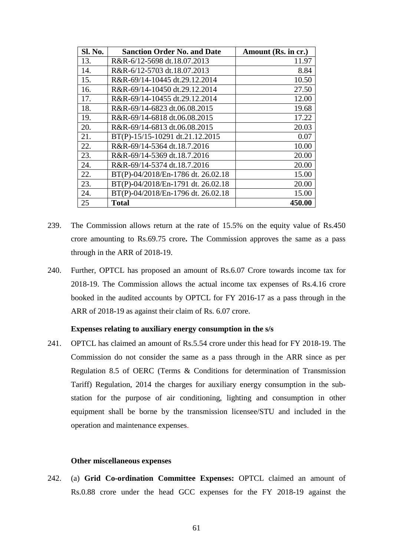| <b>Sl. No.</b> | <b>Sanction Order No. and Date</b> | Amount (Rs. in cr.) |
|----------------|------------------------------------|---------------------|
| 13.            | R&R-6/12-5698 dt.18.07.2013        | 11.97               |
| 14.            | R&R-6/12-5703 dt.18.07.2013        | 8.84                |
| 15.            | R&R-69/14-10445 dt.29.12.2014      | 10.50               |
| 16.            | R&R-69/14-10450 dt.29.12.2014      | 27.50               |
| 17.            | R&R-69/14-10455 dt.29.12.2014      | 12.00               |
| 18.            | R&R-69/14-6823 dt.06.08.2015       | 19.68               |
| 19.            | R&R-69/14-6818 dt.06.08.2015       | 17.22               |
| 20.            | R&R-69/14-6813 dt.06.08.2015       | 20.03               |
| 21.            | BT(P)-15/15-10291 dt.21.12.2015    | 0.07                |
| 22.            | R&R-69/14-5364 dt.18.7.2016        | 10.00               |
| 23.            | R&R-69/14-5369 dt.18.7.2016        | 20.00               |
| 24.            | R&R-69/14-5374 dt.18.7.2016        | 20.00               |
| 22.            | BT(P)-04/2018/En-1786 dt. 26.02.18 | 15.00               |
| 23.            | BT(P)-04/2018/En-1791 dt. 26.02.18 | 20.00               |
| 24.            | BT(P)-04/2018/En-1796 dt. 26.02.18 | 15.00               |
| 25             | <b>Total</b>                       | 450.00              |

- 239. The Commission allows return at the rate of 15.5% on the equity value of Rs.450 crore amounting to Rs.69.75 crore**.** The Commission approves the same as a pass through in the ARR of 2018-19.
- 240. Further, OPTCL has proposed an amount of Rs.6.07 Crore towards income tax for 2018-19. The Commission allows the actual income tax expenses of Rs.4.16 crore booked in the audited accounts by OPTCL for FY 2016-17 as a pass through in the ARR of 2018-19 as against their claim of Rs. 6.07 crore.

#### **Expenses relating to auxiliary energy consumption in the s/s**

241. OPTCL has claimed an amount of Rs.5.54 crore under this head for FY 2018-19. The Commission do not consider the same as a pass through in the ARR since as per Regulation 8.5 of OERC (Terms & Conditions for determination of Transmission Tariff) Regulation, 2014 the charges for auxiliary energy consumption in the substation for the purpose of air conditioning, lighting and consumption in other equipment shall be borne by the transmission licensee/STU and included in the operation and maintenance expenses.

#### **Other miscellaneous expenses**

242. (a) **Grid Co-ordination Committee Expenses:** OPTCL claimed an amount of Rs.0.88 crore under the head GCC expenses for the FY 2018-19 against the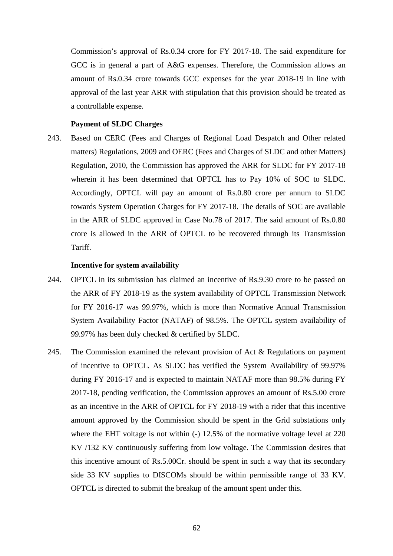Commission's approval of Rs.0.34 crore for FY 2017-18. The said expenditure for GCC is in general a part of A&G expenses. Therefore, the Commission allows an amount of Rs.0.34 crore towards GCC expenses for the year 2018-19 in line with approval of the last year ARR with stipulation that this provision should be treated as a controllable expense.

#### **Payment of SLDC Charges**

243. Based on CERC (Fees and Charges of Regional Load Despatch and Other related matters) Regulations, 2009 and OERC (Fees and Charges of SLDC and other Matters) Regulation, 2010, the Commission has approved the ARR for SLDC for FY 2017-18 wherein it has been determined that OPTCL has to Pay 10% of SOC to SLDC. Accordingly, OPTCL will pay an amount of Rs.0.80 crore per annum to SLDC towards System Operation Charges for FY 2017-18. The details of SOC are available in the ARR of SLDC approved in Case No.78 of 2017. The said amount of Rs.0.80 crore is allowed in the ARR of OPTCL to be recovered through its Transmission Tariff.

#### **Incentive for system availability**

- 244. OPTCL in its submission has claimed an incentive of Rs.9.30 crore to be passed on the ARR of FY 2018-19 as the system availability of OPTCL Transmission Network for FY 2016-17 was 99.97%, which is more than Normative Annual Transmission System Availability Factor (NATAF) of 98.5%. The OPTCL system availability of 99.97% has been duly checked & certified by SLDC.
- 245. The Commission examined the relevant provision of Act & Regulations on payment of incentive to OPTCL. As SLDC has verified the System Availability of 99.97% during FY 2016-17 and is expected to maintain NATAF more than 98.5% during FY 2017-18, pending verification, the Commission approves an amount of Rs.5.00 crore as an incentive in the ARR of OPTCL for FY 2018-19 with a rider that this incentive amount approved by the Commission should be spent in the Grid substations only where the EHT voltage is not within (-) 12.5% of the normative voltage level at 220 KV /132 KV continuously suffering from low voltage. The Commission desires that this incentive amount of Rs.5.00Cr. should be spent in such a way that its secondary side 33 KV supplies to DISCOMs should be within permissible range of 33 KV. OPTCL is directed to submit the breakup of the amount spent under this.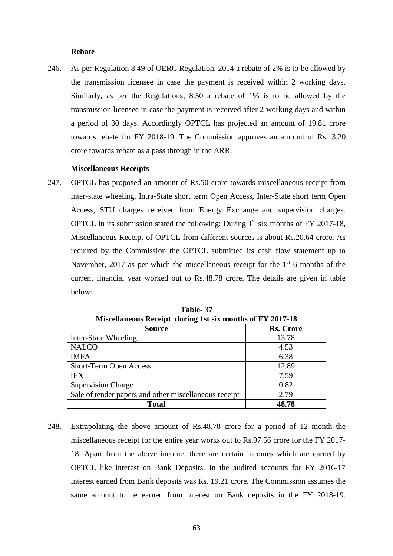#### **Rebate**

246. As per Regulation 8.49 of OERC Regulation, 2014 a rebate of 2% is to be allowed by the transmission licensee in case the payment is received within 2 working days. Similarly, as per the Regulations, 8.50 a rebate of 1% is to be allowed by the transmission licensee in case the payment is received after 2 working days and within a period of 30 days. Accordingly OPTCL has projected an amount of 19.81 crore towards rebate for FY 2018-19. The Commission approves an amount of Rs.13.20 crore towards rebate as a pass through in the ARR.

#### **Miscellaneous Receipts**

247. OPTCL has proposed an amount of Rs.50 crore towards miscellaneous receipt from inter-state wheeling, Intra-State short term Open Access, Inter-State short term Open Access, STU charges received from Energy Exchange and supervision charges. OPTCL in its submission stated the following: During  $1<sup>st</sup>$  six months of FY 2017-18, Miscellaneous Receipt of OPTCL from different sources is about Rs.20.64 crore. As required by the Commission the OPTCL submitted its cash flow statement up to November, 2017 as per which the miscellaneous receipt for the  $1<sup>st</sup>$  6 months of the current financial year worked out to Rs.48.78 crore. The details are given in table below:

| Table-37                                                  |                  |  |
|-----------------------------------------------------------|------------------|--|
| Miscellaneous Receipt during 1st six months of FY 2017-18 |                  |  |
| <b>Source</b>                                             | <b>Rs. Crore</b> |  |
| Inter-State Wheeling                                      | 13.78            |  |
| <b>NALCO</b>                                              | 4.53             |  |
| <b>IMFA</b>                                               | 6.38             |  |
| <b>Short-Term Open Access</b>                             | 12.89            |  |
| <b>IEX</b>                                                | 7.59             |  |
| <b>Supervision Charge</b>                                 | 0.82             |  |
| Sale of tender papers and other miscellaneous receipt     | 2.79             |  |
| <b>Total</b>                                              | 48.78            |  |

248. Extrapolating the above amount of Rs.48.78 crore for a period of 12 month the miscellaneous receipt for the entire year works out to Rs.97.56 crore for the FY 2017- 18. Apart from the above income, there are certain incomes which are earned by OPTCL like interest on Bank Deposits. In the audited accounts for FY 2016-17 interest earned from Bank deposits was Rs. 19.21 crore. The Commission assumes the same amount to be earned from interest on Bank deposits in the FY 2018-19.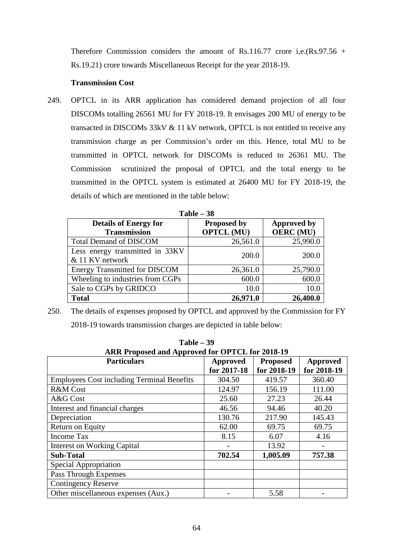Therefore Commission considers the amount of Rs.116.77 crore i,e.(Rs.97.56 + Rs.19.21) crore towards Miscellaneous Receipt for the year 2018-19.

#### **Transmission Cost**

249. OPTCL in its ARR application has considered demand projection of all four DISCOMs totalling 26561 MU for FY 2018-19. It envisages 200 MU of energy to be transacted in DISCOMs 33kV & 11 kV network, OPTCL is not entitled to receive any transmission charge as per Commission's order on this. Hence, total MU to be transmitted in OPTCL network for DISCOMs is reduced to 26361 MU. The Commission scrutinized the proposal of OPTCL and the total energy to be transmitted in the OPTCL system is estimated at 26400 MU for FY 2018-19, the details of which are mentioned in the table below:

| 1 adie – 90                                        |                    |                    |  |  |
|----------------------------------------------------|--------------------|--------------------|--|--|
| <b>Details of Energy for</b>                       | <b>Proposed by</b> | <b>Approved by</b> |  |  |
| <b>Transmission</b>                                | <b>OPTCL (MU)</b>  | <b>OERC</b> (MU)   |  |  |
| <b>Total Demand of DISCOM</b>                      | 26,561.0           | 25,990.0           |  |  |
| Less energy transmitted in 33KV<br>& 11 KV network | 200.0              | 200.0              |  |  |
| <b>Energy Transmitted for DISCOM</b>               | 26,361.0           | 25,790.0           |  |  |
| Wheeling to industries from CGPs                   | 600.0              | 600.0              |  |  |
| Sale to CGPs by GRIDCO                             | 10.0               | 10.0               |  |  |
| <b>Total</b>                                       | 26,971.0           | 26,400.0           |  |  |

| l'able | ١X |
|--------|----|
|--------|----|

250. The details of expenses proposed by OPTCL and approved by the Commission for FY 2018-19 towards transmission charges are depicted in table below:

**Table – 39** 

| $1$ avit $-12$                                    |             |                 |             |
|---------------------------------------------------|-------------|-----------------|-------------|
| ARR Proposed and Approved for OPTCL for 2018-19   |             |                 |             |
| <b>Particulars</b>                                | Approved    | <b>Proposed</b> | Approved    |
|                                                   | for 2017-18 | for 2018-19     | for 2018-19 |
| <b>Employees Cost including Terminal Benefits</b> | 304.50      | 419.57          | 360.40      |
| <b>R&amp;M</b> Cost                               | 124.97      | 156.19          | 111.00      |
| A&G Cost                                          | 25.60       | 27.23           | 26.44       |
| Interest and financial charges                    | 46.56       | 94.46           | 40.20       |
| Depreciation                                      | 130.76      | 217.90          | 145.43      |
| Return on Equity                                  | 62.00       | 69.75           | 69.75       |
| <b>Income Tax</b>                                 | 8.15        | 6.07            | 4.16        |
| <b>Interest on Working Capital</b>                |             | 13.92           |             |
| <b>Sub-Total</b>                                  | 702.54      | 1,005.09        | 757.38      |
| Special Appropriation                             |             |                 |             |
| Pass Through Expenses                             |             |                 |             |
| <b>Contingency Reserve</b>                        |             |                 |             |
| Other miscellaneous expenses (Aux.)               |             | 5.58            |             |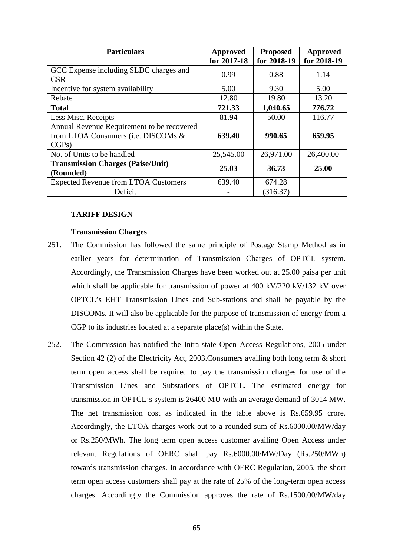| <b>Particulars</b>                          | Approved    | <b>Proposed</b> | <b>Approved</b> |
|---------------------------------------------|-------------|-----------------|-----------------|
|                                             | for 2017-18 | for 2018-19     | for 2018-19     |
| GCC Expense including SLDC charges and      | 0.99        | 0.88            | 1.14            |
| <b>CSR</b>                                  |             |                 |                 |
| Incentive for system availability           | 5.00        | 9.30            | 5.00            |
| Rebate                                      | 12.80       | 19.80           | 13.20           |
| <b>Total</b>                                | 721.33      | 1,040.65        | 776.72          |
| Less Misc. Receipts                         | 81.94       | 50.00           | 116.77          |
| Annual Revenue Requirement to be recovered  |             |                 |                 |
| from LTOA Consumers (i.e. DISCOMs &         | 639.40      | 990.65          | 659.95          |
| CGPs)                                       |             |                 |                 |
| No. of Units to be handled                  | 25,545.00   | 26,971.00       | 26,400.00       |
| <b>Transmission Charges (Paise/Unit)</b>    | 25.03       | 36.73           | 25.00           |
| (Rounded)                                   |             |                 |                 |
| <b>Expected Revenue from LTOA Customers</b> | 639.40      | 674.28          |                 |
| Deficit                                     |             | (316.37)        |                 |

# **TARIFF DESIGN**

#### **Transmission Charges**

- 251. The Commission has followed the same principle of Postage Stamp Method as in earlier years for determination of Transmission Charges of OPTCL system. Accordingly, the Transmission Charges have been worked out at 25.00 paisa per unit which shall be applicable for transmission of power at 400 kV/220 kV/132 kV over OPTCL's EHT Transmission Lines and Sub-stations and shall be payable by the DISCOMs. It will also be applicable for the purpose of transmission of energy from a CGP to its industries located at a separate place(s) within the State.
- 252. The Commission has notified the Intra-state Open Access Regulations, 2005 under Section 42 (2) of the Electricity Act, 2003.Consumers availing both long term & short term open access shall be required to pay the transmission charges for use of the Transmission Lines and Substations of OPTCL. The estimated energy for transmission in OPTCL's system is 26400 MU with an average demand of 3014 MW. The net transmission cost as indicated in the table above is Rs.659.95 crore. Accordingly, the LTOA charges work out to a rounded sum of Rs.6000.00/MW/day or Rs.250/MWh. The long term open access customer availing Open Access under relevant Regulations of OERC shall pay Rs.6000.00/MW/Day (Rs.250/MWh) towards transmission charges. In accordance with OERC Regulation, 2005, the short term open access customers shall pay at the rate of 25% of the long-term open access charges. Accordingly the Commission approves the rate of Rs.1500.00/MW/day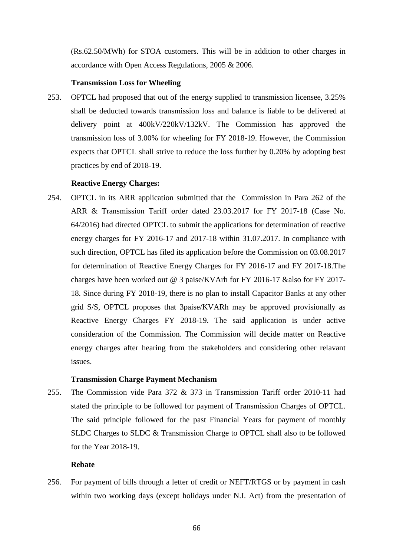(Rs.62.50/MWh) for STOA customers. This will be in addition to other charges in accordance with Open Access Regulations, 2005 & 2006.

#### **Transmission Loss for Wheeling**

253. OPTCL had proposed that out of the energy supplied to transmission licensee, 3.25% shall be deducted towards transmission loss and balance is liable to be delivered at delivery point at 400kV/220kV/132kV. The Commission has approved the transmission loss of 3.00% for wheeling for FY 2018-19. However, the Commission expects that OPTCL shall strive to reduce the loss further by 0.20% by adopting best practices by end of 2018-19.

#### **Reactive Energy Charges:**

254. OPTCL in its ARR application submitted that the Commission in Para 262 of the ARR & Transmission Tariff order dated 23.03.2017 for FY 2017-18 (Case No. 64/2016) had directed OPTCL to submit the applications for determination of reactive energy charges for FY 2016-17 and 2017-18 within 31.07.2017. In compliance with such direction, OPTCL has filed its application before the Commission on 03.08.2017 for determination of Reactive Energy Charges for FY 2016-17 and FY 2017-18.The charges have been worked out @ 3 paise/KVArh for FY 2016-17 &also for FY 2017- 18. Since during FY 2018-19, there is no plan to install Capacitor Banks at any other grid S/S, OPTCL proposes that 3paise/KVARh may be approved provisionally as Reactive Energy Charges FY 2018-19. The said application is under active consideration of the Commission. The Commission will decide matter on Reactive energy charges after hearing from the stakeholders and considering other relavant issues.

## **Transmission Charge Payment Mechanism**

255. The Commission vide Para 372 & 373 in Transmission Tariff order 2010-11 had stated the principle to be followed for payment of Transmission Charges of OPTCL. The said principle followed for the past Financial Years for payment of monthly SLDC Charges to SLDC & Transmission Charge to OPTCL shall also to be followed for the Year 2018-19.

#### **Rebate**

256. For payment of bills through a letter of credit or NEFT/RTGS or by payment in cash within two working days (except holidays under N.I. Act) from the presentation of